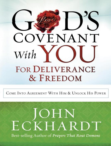# VENANT With **FOR DELIVERANCE**  $&$  FREEDOM

COME INTO AGREEMENT WITH HIM & UNLOCK HIS POWER

# OHN CKHARD

Best-selling Author of Prayers That Rout Demons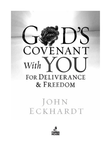

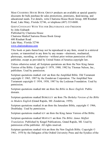Most CHARISMA HOUSE BOOK GROUP products are available at special quantity discounts for bulk purchase for sales promotions, premiums, fund-raising, and educational needs. For details, write Charisma House Book Group, 600 Rinehart Road, Lake Mary, Florida 32746, or telephone (407) 333-0600.

GOD'S COVENANT WITH YOU FOR DELIVERANCE AND FREEDOM by John Eckhardt Published by Charisma House Charisma Media/Charisma House Book Group 600 Rinehart Road Lake Mary, Florida 32746 [www.charismahouse.com](http://www.charismahouse.com)

This book or parts thereof may not be reproduced in any form, stored in a retrieval system, or transmitted in any form by any means—electronic, mechanical, photocopy, recording, or otherwise—without prior written permission of the publisher, except as provided by United States of America copyright law.

Unless otherwise noted, all Scripture quotations are from the New King James Version of the Bible. Copyright © 1979, 1980, 1982 by Thomas Nelson, Inc., publishers. Used by permission.

Scripture quotations marked AMP are from the Amplified Bible. Old Testament convright  $\stackrel{\leftarrow}{\mathbb{C}}$  1965, 1987 by the Zondervan Corporation. The Amplified New Testament copyright © 1954, 1958, 1987 by the Lockman Foundation. Used by permission.

Scripture quotations marked BBE are from the *Bible in Basic English*. Public domain.

Scripture quotations marked BERKELEY are from *The Berkeley Version of the Bible in Modern English* (Grand Rapids, MI: Zondervan, 1959).

Scripture quotations marked JB are from the Jerusalem Bible, copyright © 1966. Doubleday. Used by permission.

Scripture quotations marked KJV are from the King James Version of the Bible.

Scripture quotations marked MOFFATT are from *The Bible: James Mof att*

*Translation*. Published by Kregel Publications, Grand Rapids, MI. Used by permission of the publisher. All rights reserved.

Scripture quotations marked NEB are from the New English Bible. Copyright © 1961, 1970 by the Delegates of the Oxford University Press and the Syndics of the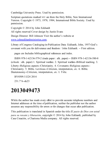Cambridge University Press. Used by permission.

Scripture quotations marked NIV are from the Holy Bible, New International Version. Copyright © 1973, 1978, 1984, International Bible Society. Used by permission.

Copyright © 2014 by John Eckhardt

All rights reserved Cover design by Justin Evans

Design Director: Bill Johnson Visit the author's website at

www.johneckhardtministries.com

Library of Congress Cataloging-in-Publication Data: Eckhardt, John, 1957-God's covenant with you for deliverance and freedom / John Eckhardt. -- First edition.

pages cm Includes bibliographical references and index.

ISBN 978-1-62136-579-2 (trade paper : alk. paper) -- ISBN 978-1-62136-580-8 (e-book : alk. paper) 1. Spiritual warfare. 2. Spiritual warfare--Biblical teaching. 3. Liberty--Religious aspects--Christianity. 4. Covenants--Religious aspects-- Christianity. 5. Bible. Leviticus--Criticism, interpretation, *etc.* 6. Bible. Deuteronomy--Criticism, interpretation, *etc.* I. Title.

BV4509.5.E24 2014 231.7'6--dc23

# **2013049473**

While the author has made every effort to provide accurate telephone numbers and Internet addresses at the time of publication, neither the publisher nor the author assumes any responsibility for errors or for changes that occur after publication.

This publication is translated in Spanish under the title *El pacto de Dios con usted para su rescate y liberación*, copyright © 2014 by John Eckhardt, published by Casa Creación, a Charisma Media company. All rights reserved.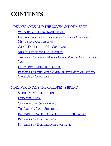# **CONTENTS**

<span id="page-4-0"></span>1 DELIVERANCE AND [THECOVENANT](#page-8-0) OF MERCY

<span id="page-4-1"></span>WE ARE GOD'S C[OVENANT](#page-10-0) PEOPLE

<span id="page-4-2"></span>D[ELIVERANCE](#page-11-0) IS AN EXPRESSION OF GOD'S COVENANTAL MERCY AND COMPASSION

<span id="page-4-3"></span>GOD IS FAITHFUL TO HIS C[OVENANT](#page-13-0)

<span id="page-4-4"></span>MERCY COMES TO THE G[ENTILES](#page-15-0)

<span id="page-4-5"></span>THE NEW COVENANT MAKES GOD'S MERCY A[VAILABLE](#page-18-0) TO **Y**OU

<span id="page-4-6"></span>HIS MERCY ENDURES F[OREVER](#page-21-0)!

<span id="page-4-7"></span>PRAYERS FOR THE MERCY AND D[ELIVERANCE](#page-23-0) OF GOD TO COME UPON YOUR LIFE

<span id="page-4-8"></span>2 DELIVERANCE IS [THECHILDREN'S](#page-31-0) BREAD

<span id="page-4-9"></span>SPIRITUAL M[ALNUTRITION](#page-31-1)

<span id="page-4-10"></span>**FEED THE F[LOCK](#page-34-0)** 

GATHERING VS. S[CATTERING](#page-37-0)

THE LORD IS YOUR S[HEPHERD](#page-39-0)

BALANCE BETWEEN D[ELIVERANCE](#page-41-0) AND THE WORD

PRAYERS FOR D[ELIVERANCE](#page-43-0)

PRAYERS FOR D[ELIVERANCE](#page-45-0) FROM EVIL.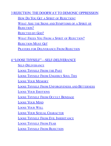3 REJECTION: THE [DOORWAYTO](#page-48-0) DEMONIC OPPRESSION

HOW DO YOU GET A SPIRIT OF R[EJECTION?](#page-48-1)

WHAT ARE THE SIGNS AND S[YMPTOMS](#page-55-0) OF A SPIRIT OF REJECTION?

R[EJECTED](#page-56-0) BY GOD?

WHAT FREES YOU FROM A SPIRIT OF R[EJECTION](#page-61-0)?

R[EJECTION](#page-71-0) MUST GO!

PRAYERS FOR D[ELIVERANCE](#page-72-0) FROM REJECTION

4 "LOOSE [THYSELF"—SELF-DELIVERANCE](#page-76-0)

SELF-D[ELIVERANCE](#page-76-1)

LOOSE T[HYSELF](#page-77-0) FROM THE PAST

LOOSE THYSELF FROM U[NGODLY](#page-81-0) SOUL TIES

LOOSE YOUR M[EMORY](#page-82-0)

LOOSE THYSELF FROM U[NFORGIVENESS](#page-83-0) AND BITTERNESS

LOOSE YOUR E[MOTIONS](#page-83-1)

LOOSE THYSELF FROM OCCULT B[ONDAGE](#page-84-0)

L[OOSE](#page-85-0) YOUR MIND

L[OOSE](#page-86-0) YOUR WILL

LOOSE YOUR SEXUAL C[HARACTER](#page-87-0)

LOOSE THYSELF FROM EVIL I[NHERITANCE](#page-88-0)

LOOSE T[HYSELF](#page-89-0) FROM FEAR

LOOSE THYSELF FROM R[EJECTION](#page-89-1)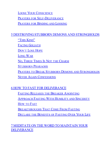LOOSE YOUR C[ONSCIENCE](#page-90-0)

PRAYERS FOR SELF-D[ELIVERANCE](#page-91-0)

P[RAYERS](#page-95-0) FOR BINDING AND LOOSING

#### 5 [DESTROYINGSTUBBORN](#page-100-0) DEMONS AND STRONGHOLDS

["T](#page-101-0)HIS KIND"

FACING G[OLIATH](#page-107-0)

D[ON'T](#page-108-0) LOSE HOPE

L[ONG](#page-110-0) WAR

NO, THREE TIMES IS NOT THE C[HARM](#page-112-0)

S[TUBBORN](#page-115-0) PHARAOHS

PRAYERS TO BREAK STUBBORN DEMONS AND S[TRONGHOLDS](#page-117-0)

NEVER AGAIN C[ONFESSIONS](#page-121-0)

#### 6 HOW TO FAST FOR [DELIVERANCE](#page-126-0)

FASTING RELEASES THE BREAKER A[NOINTING](#page-129-0)

A[PPROACH](#page-131-0) FASTING WITH HUMILITY AND SINCERITY

HOW TO F[AST](#page-133-0)

B[REAKTHROUGHS](#page-133-1) THAT COME FROM FASTING

DECLARE THE B[ENEFITS](#page-143-0) OF FASTING OVER YOUR LIFE

#### 7 MEDITATE ON THE WORD TO MAINTAIN YOUR [DELIVERANCE](#page-148-0)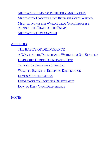MEDITATION—KEY TO P[ROSPERITY](#page-149-0) AND SUCCESS M[EDITATION](#page-157-0) UNCOVERS AND RELEASES GOD'S WISDOM M[EDITATING](#page-159-0) ON THE WORD BUILDS YOUR IMMUNITY AGAINST THE TRAPS OF THE ENEMY MEDITATION D[ECLARATIONS](#page-159-1)

[APPENDIX](#page-162-0)

THEBASICS OF [DELIVERANCE](#page-162-0)

A WAY FOR THE D[ELIVERANCE](#page-162-1) WORKER TO GET STARTED

LEADERSHIP DURING D[ELIVERANCE](#page-162-2) TIME

TACTICS OF S[PEAKING](#page-163-0) TO DEMONS

WHAT TO EXPECT IN RECEIVING D[ELIVERANCE](#page-164-0)

DEMON M[ANIFESTATIONS](#page-164-1)

HINDRANCES TO RECEIVING D[ELIVERANCE](#page-166-0)

HOW TO KEEP YOUR D[ELIVERANCE](#page-167-0)

**[NOTES](#page-169-0)**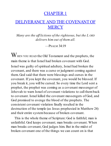#### [CHAPTER](#page-4-0) 1

#### <span id="page-8-0"></span>[DELIVERANCE](#page-4-0) AND THE COVENANT OF **MERCY**

*Many are the af lictions of the righteous, but the L ORD delivers him out of them all.*

—PSALM 34:19

WHEN YOU READ the Old Testament and the prophets, the main theme is that Israel had broken covenant with God. Israel was guilty of spiritual adultery, Israel had broken the covenant, and there was a curse or judgment coming against them. God said that there were blessings and curses in the covenant. If you kept the covenant, you would be blessed. If you break it, you will be cursed. So every time the Lord sent a prophet, the prophet was coming as a covenant messenger of Jehovah to warn Israel of covenant violations to call themback to covenant. Israel killed the covenant messengers of God, and God promised to avenge the blood of the prophets. The consistent covenant violation finally resulted in the destruction of the temple (as Jesus prophesied in Matthew 24) and their entire systembecause of broken covenant.

This is the whole theme of Scripture: God is faithful; man is unfaithful. God keeps covenant; man breaks covenant. When man breaks covenant, God judges him. But in the midst of broken covenant one of the things we can count on is that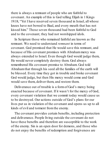there is always a remnant of people who are faithful to covenant. An example of this is God telling Elijah in 1 Kings 19:18, "Yet I have reserved seven thousand in Israel, all whose knees have not bowed to Baal, and every mouth that has not kissed him." Those seven thousand had been faithful to God and to the covenant; they had not worshipped idols.

In Scripture those who remained faithful are known as the remnant. We need to understand *remnant* in terms of covenant. God promised that He would save this remnant, and because of His covenant promises with Abraham mercy was always extended to Israel. Even though God would judge them, He would never completely destroy them. God always remembered His covenant promise to Abraham. God told Abrahamthat through his seed all the families of the earth will be blessed. Every time they got in trouble and broke covenant God would judge, but then His mercy would come and God would save them, deliver them, and restore them.

Deliverance out of trouble is a formof God's mercy being enacted because of covenant. If it wasn't for the mercy of God, every covenant violation that we commit today would cause us to be destroyed. Our actions outside of God's plans for our lives put us in violation of the covenant and opens us up to all kinds of evil and torment fromthe enemy.

The covenant provides certain benefits, including protection and deliverance. People living outside the covenant do not have these benefits and therefore are susceptible to the work of the enemy. Sin is an open door for demons, and those who do not enjoy the benefits of redemption and forgiveness are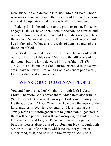more susceptible to demonic intrusion into their lives. Those who walk in covenant enjoy the blessing of forgiveness from sin, and the operation of demons is limited and hindered.

Redemption is the solution to the problemof sin. Those who engage in sin will have open doors for demons to come in and operate. Those outside of covenant live in darkness, which is the realmof Satan and demons. Those who walk in covenant live in the light. Darkness is the realmof demons, and light is the realmof God.

But God has created a way for us to be delivered out of all our troubles. The Bible says, "Many are the afflictions of the righteous, but the LORD delivers himout of themall" (Ps. 34:19). This deliverance is God's mercy extended to those who are in covenant with Him. When God's covenant people call, He hears themand answers them.

#### <span id="page-10-0"></span>WE ARE GOD'S [COVENANT](#page-4-1) PEOPLE

You and I are the seed of Abrahamthrough faith in Jesus Christ. Therefore God's covenant to Abrahamis also with us. (See Genesis 15.) So now the mercy of God comes upon your life through Jesus Christ. When the Bible says the mercy of the Lord endures forever, it never ends, and it is steadfast, it simply means that fromgeneration to generation to generation there will be a people God will have mercy on, be kind to, show tenderness to, and forgive. There will always be a generation, because there is always a seed of Abraham. Now through faith we are the seed of Abraham, which means that you must understand, trust, and believe in the mercy of God. God's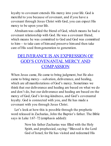loyalty to covenant extends His mercy into your life. God is merciful to you because of covenant, and if you have a covenant through Jesus Christ with God, you can expect His mercy to be upon your life.

Abrahamwas called the friend of God, which means he had a covenant relationship with God. He was a covenant friend, which means he was committed to God and God was committed to him— to take care of himand preserve himand then take care of His seed fromgeneration to generation.

# <span id="page-11-0"></span>DELIVERANCE IS AN EXPRESSION OF GOD'S [COVENANTAL](#page-4-2) MERCY AND **COMPASSION**

When Jesus came, He came to bring judgment, but He also came to bring mercy—salvation, deliverance, and healing, which are all manifestations of God's mercy. Sometimes we think that our deliverance and healing are based on what we do and don't do, but our deliverance and healing are based on the mercy of God, God's loving-kindness, and God's covenantal loyalty. God is connected with you, and He has made a covenant with you through Jesus Christ.

Let's look at how this is possible through the prophetic word released in Zacharias, John the Baptist's father. The Bible says in Luke 1:67–72 (emphasis added):

> Now his father Zacharias was filled with the Holy Spirit, and prophesied, saying: "Blessed is the Lord God of Israel, for He has visited and redeemed His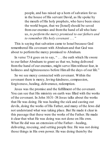people, and has raised up a horn of salvation for us in the house of His servant David, as He spoke by the mouth of His holy prophets, who have been since the world began, that we [Israel] should be saved fromour enemies and fromthe hand of all who hate us, *to perform the mercy promised to our fathers and to remember His holy covenant* . . . "

This is saying that salvation came to Israel because God remembered His covenant with Abrahamand that God was about to performthe mercy promised to Abraham.

In verse 73 it goes on to say, " . . . the oath which He swore to our father Abraham: to grant us that we, being delivered fromthe hand of our enemies, might serve Himwithout fear, in holiness and righteousness before Himall the days of our life."

So we see mercy connected with covenant. Within the covenant there is mercy, loving-kindness, compassion, forgiveness, healing, deliverance, redemption.

Jesus was the promise and the fulfillment of the covenant. You can see that His ministry on earth was filled with the works of the covenant. In John 10:31–38 Jesus talks about the works that He was doing. He was healing the sick and casting out devils, doing the works of His Father, and many of the Jews did not understand what was taking place. But He made it clear in this passage that these were the works of the Father. He made it clear that what He was doing was not done on His own. What He did was an extension of the Father—healing, delivering, rescuing, and setting people free. He was not doing those things in His own power. He was doing themby the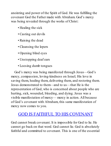anointing and power of the Spirit of God. He was fulfilling the covenant God the Father made with Abraham. God's mercy was being revealed through the works of Christ:

- Healing the sick
- Casting out devils
- Raising the dead
- Cleansing the lepers
- Opening blind eyes
- Unstopping deaf ears
- Loosing dumb tongues

God's mercy was being manifested through Jesus—God's mercy, compassion, loving-kindness on Israel; His love in saving them, healing them, delivering them, and restoring them. Jesus demonstrated to them—and to us—that He is the representation of God, who is concerned about people who are hurting, sick, wounded, bleeding, and dying. Jesus was a visible manifestation of mercy— mercy in action. All because of God's covenant with Abraham, this same manifestation of mercy now comes to you.

# <span id="page-13-0"></span>GOD IS FAITHFUL TO HIS [COVENANT](#page-4-3)

God cannot break covenant. It is impossible for God to lie. He cannot go back on that word. God cannot lie. God is absolutely faithful and committed to covenant. This is one of the essential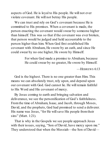aspects of God. He is loyal to His people. He will not ever violate covenant. He will not betray His people.

We can trust and rely on God's covenant because He is committed to His promises. When a covenant is made, the person enacting the covenant would swear by someone higher than himself. This was so that if the covenant was ever broken, that person would be judged and held accountable to the person higher than him. When God first established His covenant with Abraham, He swore by an oath, and since He could swear by no one higher, He swore by Himself.

> For when God made a promise to Abraham, because He could swear by no greater, He swore by Himself.

> > —HEBREWS 6:13

God is the highest. There is no one greater than Him. This means we can absolutely trust, rely upon, and depend upon our covenant with God. God cannot lie. He will remain faithful to His Word and His covenant of mercy.

By Jesus coming to earth and bringing salvation and deliverance, we see the personification of God's faithfulness. Fromthe time of Abraham, Isaac, and Jacob, through Moses, David, and the prophets, God had promised to send a deliverer. His name was Jesus, "for He will save His people from their sins" (Matt. 1:21).

That is why in the Gospels we see people approach Jesus with their issues, saying, "Son of David, have mercy upon me." They understood that when the Messiah—the Son of David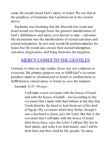came, He would extend God's mercy to Israel. We see that in the prophecy of Zacharias that I pointed out in the section above.

Zacharias was declaring that the Messiah has come and Israel would see through Jesus the greatest manifestation of God's faithfulness and mercy ever known to man—salvation. His incarnation was the manifestation of eternalsalvation and eternal redemption. So not only would He performmiracles for Israel, but He would also ensure their eternal redemption, salvation, forgiveness, and bring theminto the kingdom.

#### MERCY COMES TO THE [GENTILES](#page-4-4)

<span id="page-15-0"></span>Contrary to what we may realize, Jesus was not a minister to everyone. His primary purpose was to fulfill God's covenant promises made to Abrahamand to Israel, to confirmthem, to fulfill themto extend mercy to Israel, to save the remnant.

Jeremiah 31:31–34 says:

I will make a new covenant with the house of Israel and with the house of Judah—not according to the covenant that I made with their fathers in the day that I took themby the hand to lead themout of the land of Egypt, My covenant which they broke, though I was a husband to them, says the LORD. But this is the covenant that I will make with the house of Israel after those days, says the LORD: I will put My law in their minds, and write it on their hearts; and I will be their God, and they shall be My people. No more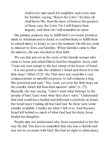shall every man teach his neighbor, and every man his brother, saying, "Know the LORD," for they all shall know Me, fromthe least of themto the greatest of them, says the LORD. For I will forgive their iniquity, and their sin I will remember no more.

His primary purpose was to fulfill God's covenant promises made to Abrahamand to Israel, to confirmthem, to fulfill them to extend mercy to Israel, to save the remnant. He did not come to minister to Jews *and* Gentiles. When Gentiles came to Him for ministry, He was shocked at their faith.

We see this proven in the story of the Gentile woman who came to Jesus and asked Himto heal her daughter. Jesus said, "I was not sent except to the lost sheep of the house of Israel. . . . It is not good to take the children's bread and throw it to the little dogs" (Matt.15:25–26). That does not seemlike a very compassionate or merciful response, to callsomeone a dog. She persisted and said, "Yes, Lord, yet even the little dogs eat the crumbs which fall fromtheir masters' table" (v. 27). Basically she was saying, "I don't want what belongs to the people of God. I just want what they don't want." Understand that God could have healed and delivered everybody in Israel, but Israel wasn't taking all that God had. So there were some crumbs available. Crumbs are what's left over. And because Israel left behind so much of what God had for them, Jesus healed her daughter.

People may not understand why Jesus responded to her the way He did. You have to remember that she was a Gentile and was not in covenant with God. She had no right to claimmercy.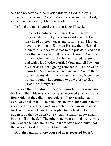She had no covenant, no relationship with God. Mercy is connected to covenant. When you are in covenant with God, you can receive mercy. Mercy is available to you.

Let's take a look at another story in Luke 17:12–18:

Then as He entered a certain village, there met Him ten men who were lepers, who stood afar off. And they lifted up their voices and said, "Jesus, Master, have mercy on us!" So when He saw them, He said to them, "Go, show yourselves to the priests." And so it was that as they went, they were cleansed. And one of them, when he saw that he was healed, returned, and with a loud voice glorified God, and fell down on his face at His feet, giving Himthanks. And he was a Samaritan. So Jesus answered and said, "Were there not ten cleansed? But where are the nine? Were there not any found who returned to give glory to God except this foreigner?"

I believe that this story of the one Samaritan leper who came back is in the Bible to show that Israel received so much mercy fromGod, but they didn't appreciate it. The Samaritan (a Gentile) was thankful. The outsiders are more thankful than the insiders. The insiders take it for granted. The Samaritan came back and thanked Jesus. He was glad to get healed. He understood that he wasn't a Jew, that he wasn't in covenant, but he still got healed. The other nine went on their merry way. Many of those who are in covenant are often not thankful for the mercy of God. They take it for granted.

Only the remnant of the house of Israel received Jesus's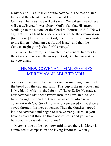ministry and His fulfillment of the covenant. The rest of Israel hardened their hearts. So God extended His mercy to the Gentiles. That's us! We will get saved. We will get healed. We will get delivered. It was always God's plan that His mercy would go to the nations or the Gentiles. Romans 15:8–9: "Now I say that Jesus Christ has become a servant to the circumcision [to the Jews] for the truth of God, to confirmthe promises made to the fathers [Abraham, Jacob, and Isaac], and that the Gentiles might glorify God for His mercy."

But remember mercy is connected to covenant. In order for the Gentiles to receive the mercy of God, God had to make a new covenant.

# <span id="page-18-0"></span>THE NEW COVENANT MAKES GOD'S MERCY [AVAILABLE](#page-4-5) TO YOU

Jesus sat down with His disciples on Passover night and took the bread and the cup and said, "This cup is the new covenant in My blood, which is shed for you" (Luke 22:20). He made a new covenant with those twelve men, the new Israel of God. Now through the death of Christ we all come into a new covenant with God. So all those who were saved in Israel were saved through this new covenant. Then the Gentiles tapped into the covenant and began to receive mercy. Because you have a covenant through the blood of Jesus and you are a believer, mercy is extended to you!

Mercy is one of the most powerful forces there is. Mercy is connected to compassion and loving-kindness. When you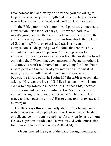have compassion and mercy on someone, you are willing to help them. You use your strength and power to help someone who is less fortunate, in need, and can't do it on their own.

In the Bible your bowels, your inward parts are connected to compassion. First John 3:17 says, "But whoso hath this world's good, and seeth his brother have need, and shutteth up his *bowels of compassion* fromhim, how dwelleth the love of God in him?" (KJV, emphasis added). This means compassion is a deep and powerful force that controls how you interact with another person. Your compassion for someone drives you or motivates you fromthe inside out to act on their behalf. When that deep emotion or feeling for others is shut off, you won't feel moved to do anything for them. Your inward parts are the center of your motivations for most of what you do. We often need deliverance in this area, the bowels, the inward parts. In 1 John 3:17 the Bible is essentially asking, "How can the love of God live in a person who is not *moved* to help someone in need?" It's not possible, because compassion and mercy are central to God's character. God is not just willing to help you; God is *moved* to help you. His mercy and compassion compel Himto come to your rescue and deliver you.

The Bible says this consistently about Jesus being moved with compassion when people came to Him in need of healing or deliverance fromdemonic spirits: "And when Jesus went out He saw a great multitude; and He was moved with compassion for them, and healed their sick" (Matt. 14:14).

•Jesus opened the eyes of the blind through compassion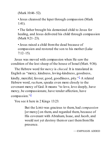(Mark 10:46–52).

•Jesus cleansed the leper through compassion (Mark 1:41).

• The father brought his demonized child to Jesus for healing, and Jesus delivered his child through compassion (Mark 9:21–23).

•Jesus raised a child fromthe dead because of compassion and restored the son to his mother (Luke 7:12–15).

Jesus was moved with compassion when He saw the condition of the lost sheep of the house of Israel (Matt. 9:36).

The Hebrew word for *mercy* is *checed*. It is translated in English as "mercy, kindness, loving-kindness, goodness, kindly, merciful, favour, good, goodliness, pity."<sup>[1](#page-169-1)</sup> A related Hebrew word, *racham*, speaks even more closely to the covenant mercy of God. It means "to love, love deeply, have mercy, be compassionate, have tender affection, have compassion." [2](#page-169-2)

You see it here in 2 Kings 13:23:

But the LORD was gracious to them, had *compassion* [or mercy] on them, and regarded them, because of His covenant with Abraham, Isaac, and Jacob, and would not yet destroy them or cast them from His presence.

—EMPHASIS ADDED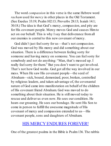The word *compassion* in this verse is the same Hebrew word *racham* used for *mercy* in other places in the Old Testament. (See Exodus 33:19; Psalm102:13; Proverbs 28:13; Isaiah 14:1; 30:18.) The idea is that God's mercy, compassion, and pity are for His covenant people. Mercy moves God and causes Himto act on our behalf. This is why I say that deliverance fromall our enemies is central to this new covenant of mercy.

God didn't just feelsorry for us—that's not compassion. God was moved by His mercy and did something about our situation. There is a difference between feeling sorry for someone and having mercy on someone. You can feelsorry for somebody and not do anything: "Man, that's messed up. I really feel sorry for them." But you don't want to get involved. That's not how God works. God got all the way involved in our mess. When He saw His covenant people—the seed of Abraham—sick, bound, demonized, poor, broken, controlled by religious leaders, and taken advantage of, the covenantal nature of God came into manifestation on behalf of the children of His covenant friend Abraham. God was moved to do something about their situation. He is still moved today to rescue and deliver us even now. He sees our condition. He hears our groaning. He sees our bondage. He sent His Son to come in person to fulfill the awesome magnitude of His covenant of mercy and compassion extended to us—His covenant people, sons and daughters of Abraham.

#### HIS MERCY ENDURES [FOREVER!](#page-4-6)

<span id="page-21-0"></span>One of the greatest psalms in the Bible is Psalm136. The rabbis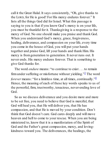call it the Great Halal. It says consistently, "Oh, give thanks to the LORD, for He is good! For His mercy endures forever." It lists all the things God did for Israel. What this passage is saying to you is that if you know God's mercy is on your life, you must be thankful for it. Thanksgiving is a response to the mercy of God. No one should make you praise and thank God. When you understand God's mercy, grace, forgiveness, healing, deliverance, and compassion on your life, every time you come in the house of God, you will put your hands together and praise God, lift your hands and thank Him. His mercy is fromgeneration to generation. It never runs out. It never ends. His mercy endures forever. That is something to give God thanks for.

The word *endure* means: "to continue to exist ... to remain firm under suffering or misfortune without yielding."<sup>[3](#page-169-3)</sup> The word *forever* means: "for a limitless time, at all times, continually." [4](#page-169-4) Hence, the meaning of each of these key words speaks to us of the powerful, firm, trustworthy, tenacious, never-ending love of God.

So as we discuss deliverance and you desire more and more to be set free, you need to believe that God is merciful, that God will heal you, that He will deliver you, that He has compassion, and that He is moved by your condition. Don't think that God doesn't care. God cares deeply and will move heaven and hell to come to your rescue. When you are being ministered to, know that it is a manifestation of the Spirit of God and the Father's great compassion, mercy, and lovingkindness toward you. The deliverances, the healings, the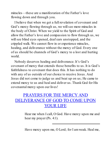miracles—these are a manifestation of the Father's love flowing down and through you.

I believe that when we get a full revelation of covenant and God's mercy flowing through us, we will see more miracles in the body of Christ. When we yield to the Spirit of God and allow the Father's love and compassion to flow through us, we will see blind eyes opened, deaf ears unstopped, and the crippled walk. We cannot flow in or experience miracles, healing, and deliverance without the mercy of God. Every one of us should be channels of God's mercy to a lost and hurting world.

Nobody deserves healing and deliverance. It's God's covenant of mercy that extends those benefits to us. It is God's faithfulness to covenant that does this. It has nothing to do with any of us outside of our choice to receive Jesus. And Jesus did not come to judge us and beat up on us; He came to extend mercy to us and heal and deliver us. Thank God for His covenantal mercy upon our lives!

# <span id="page-23-0"></span>PRAYERS FOR THE MERCY AND [DELIVERANCE](#page-4-7) OF GOD TO COME UPON YOUR LIFE

Hear me when I call, O God. Have mercy upon me and hear my prayer (Ps. 4:1).

Have mercy upon me, O Lord; for I amweak. Heal me,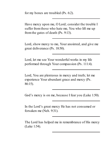for my bones are troubled (Ps. 6:2).

Have mercy upon me, O Lord; consider the trouble I suffer fromthose who hate me, You who lift me up fromthe gates of death (Ps. 9:13).

Lord, show mercy to me, Your anointed, and give me great deliverance (Ps. 18:50).

Lord, let me see Your wonderful works in my life performed through Your compassion (Ps. 111:4).

Lord, You are plenteous in mercy and truth; let me experience Your abundant grace and mercy (Ps. 86:15).

God's mercy is on me, because I fear you (Luke 1:50).

In the Lord's great mercy He has not consumed or forsaken me (Neh. 9:31).

The Lord has helped me in remembrance of His mercy (Luke 1:54).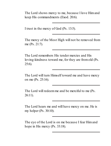The Lord shows mercy to me, because I love Himand keep His commandments (Exod. 20:6).

I trust in the mercy of God (Ps. 13:5).

The mercy of the Most High will not be removed from me (Ps. 21:7).

The Lord remembers His tender mercies and His loving-kindness toward me, for they are fromold (Ps. 25:6).

The Lord will turn Himself toward me and have mercy on me (Ps. 25:16).

The Lord will redeemme and be merciful to me (Ps. 26:11).

The Lord hears me and will have mercy on me. He is my helper (Ps. 30:10).

The eye of the Lord is on me because I fear Himand hope in His mercy (Ps. 33:18).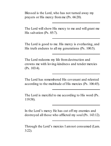Blessed is the Lord, who has not turned away my prayers or His mercy fromme (Ps. 66:20).

The Lord will show His mercy to me and will grant me His salvation (Ps. 85:7).

The Lord is good to me. His mercy is everlasting, and His truth endures to all my generations (Ps. 100:5).

The Lord redeems my life fromdestruction and crowns me with loving-kindness and tender mercies (Ps. 103:4).

The Lord has remembered His covenant and relented according to the multitude of His mercies (Ps. 106:45).

The Lord is merciful to me according to His word (Ps. 119:58).

In the Lord's mercy He has cut off my enemies and destroyed all those who afflicted my soul (Ps. 143:12).

Through the Lord's mercies I amnot consumed (Lam. 3:22).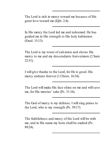The Lord is rich in mercy toward me because of His great love toward me (Eph. 2:4).

In His mercy the Lord led me and redeemed. He has guided me in His strength to His holy habitation (Exod. 15:13).

The Lord is my tower of salvation and shows His mercy to me and my descendants forevermore (2 Sam. 22:51).

I will give thanks to the Lord, for He is good. His mercy endures forever (1 Chron. 16:34).

The Lord will make His face shine on me and willsave me, for His mercies' sake (Ps. 31:16).

The God of mercy is my defense. I willsing praise to the Lord, who is my strength (Ps. 59:17).

The faithfulness and mercy of the Lord will be with me, and in His name my horn shall be exalted (Ps. 89:24).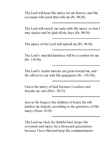The Lord will keep His mercy for me forever, and His covenant willstand firmwith me (Ps. 89:28).

The Lord willsatisfy me early with His mercy so that I may rejoice and be glad all my days (Ps. 90:14).

The mercy of the Lord will uphold me (Ps. 94:18).

The Lord's merciful kindness will be a comfort for me (Ps. 119:76).

The Lord's tender mercies are great toward me, and He will revive me with His judgments (Ps. 119:156).

I have the mercy of God because I confess and forsake my sins (Prov. 28:13).

Just as He forgave the children of Israel, He will pardon my iniquity according to the greatness of His mercy (Num. 14:19).

The Lord my God, the faithful God, keeps His covenant and mercy for a thousand generations because I love Himand keep His commandments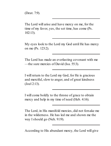(Deut. 7:9).

The Lord will arise and have mercy on me, for the time of my favor, yes, the set time, has come (Ps. 102:13).

My eyes look to the Lord my God until He has mercy on me (Ps. 123:2).

The Lord has made an everlasting covenant with me —the sure mercies of David (Isa. 55:3).

I will return to the Lord my God, for He is gracious and merciful, slow to anger, and of great kindness (Joel 2:13).

I will come boldly to the throne of grace to obtain mercy and help in my time of need (Heb. 4:16).

The Lord, in His manifold mercies, did not forsake me in the wilderness. He has led me and shown me the way I should go (Neh. 9:19).

According to His abundant mercy, the Lord will give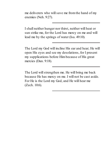me deliverers who will save me from the hand of my enemies (Neh. 9:27).

I shall neither hunger nor thirst, neither will heat or sun strike me, for the Lord has mercy on me and will lead me by the springs of water (Isa. 49:10).

The Lord my God will incline His ear and hear; He will open His eyes and see my desolations, for I present my supplications before Himbecause of His great mercies (Dan. 9:18).

The Lord willstrengthen me. He will bring me back because He has mercy on me. I will not be cast aside. For He is the Lord my God, and He will hear me (Zech. 10:6).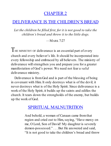#### [CHAPTER](#page-4-8) 2

#### <span id="page-31-0"></span>[DELIVERANCE](#page-4-8) IS THE CHILDREN'S BREAD

*Let the children be filled first, for it is not good to take the children's bread and throw it to the little dogs.*

 $-M$ ARK 7:27

 $T_{\text{HE MINSTRY OF}}$  deliverance is an essential part of every church and every believer's life. It should be incorporated into every fellowship and embraced by all believers. The ministry of deliverance willstrengthen you and prepare you for a greater manifestation of God's power. We need not fear a *valid* deliverance ministry.

Deliverance is fromGod and is part of the blessing of being in covenant with Him. It only destroys what is of the devil; it never destroys what is of the Holy Spirit. Since deliverance is a work of the Holy Spirit, it builds up the saints and edifies the church. It tears down the strongholds of the enemy, but builds up the work of God.

#### SPIRITUAL [MALNUTRITION](#page-4-9)

<span id="page-31-1"></span>And behold, a woman of Canaan came fromthat region and cried out to Him, saying, "Have mercy on me, O Lord, Son of David! My daughter is severely demon-possessed." . . . But He answered and said, "It is not good to take the children's bread and throw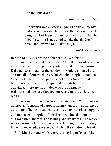it to the little dogs."

—MATTHEW 15:22, 26

The woman was a Greek, a Syro-Phoenician by birth, and she kept asking Himto cast the demon out of her daughter. But Jesus said to her, "Let the children be filled first, for it is not good to take the children's bread and throw it to the little dogs."

—MARK 7:26–27

In both of these Scripture references Jesus refers to deliverance as "the children's bread." The three words contain a revelation concerning the importance of deliverance ministry. Deliverance is bread for the children of God. It is part of the spiritual diet fromwhich every believer has a right to partake. When deliverance is not part of a believer's (or group of believers) diet, the result is spiritual malnutrition. I am convinced there are multitudes who are spiritually malnourished because they are not receiving the children's bread.

*Bread*, simply defined, is food or sustenance. *Sustenance* is defined as "a means of support, maintenance, or subsistence . . . the state of being sustained . . . something that gives support, endurance, or strength."<sup>[1](#page-170-0)</sup> Christians need bread to endure. Without such, there will be fainting and weakness. The reason why so many believers are weak and fainting is because they have not received deliverance, which is the children's bread.

Both Matthew and Mark record the saying of Jesus: "the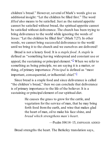children's bread." However, several of Mark's words give us additional insight: "Let the children be filled first." The word *filled* also means to be satisfied. Just as the natural appetite cannot be satisfied without bread, the spiritual appetite cannot be satisfied without deliverance. The church has been trying to bring deliverance to the world while ignoring the words of Jesus: "Let the children be filled first" (Mark 7:27). In other words, we cannot bring successful deliverance to the world until we bring it to the church and we ourselves are delivered!

Bread is not a luxury food. It is a *staple food*. A *staple* is defined as "something having widespread and constant use or appeal, the sustaining or principal element."<sup>[2](#page-170-1)</sup> When we refer to something as being principle, we are saying it is a matter, or thing, of primary importance. *Principal* is defined as "most important, consequential, or influential: chief."<sup>[3](#page-170-2)</sup>

Since bread is a staple food and since deliverance is called "the children's bread," then we can conclude that deliverance is of primary importance to the life of the believer. It is a sustaining or principal element of our spiritual diet.

> He causes the grass to grow for the cattle, and vegetation for the service of man, that he may bring forth food fromthe earth, and wine that makes glad the heart of man, oil to make his face shine, and *bread which strengthens man's heart*.

> > —Psalm104:14–15, EMPHASIS ADDED

Bread strengths the heart. The Berkeley translation says,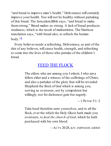"and bread to improve man's health." Deliverance will certainly improve your health. You will not be healthy without partaking of this bread. The JerusalemBible says, "and bread to make themstrong." Bread makes us strong. A lack of bread produces weakness, which is the result of malnutrition. The Harrison translation says, "with bread also, to refresh the human body." [4](#page-170-3)

Every believer needs a refreshing. Deliverance, as part of the diet of any believer, will cause health, strength, and refreshing to come into the lives of those who partake of the children's bread.

#### FEED THE [FLOCK](#page-4-10)

<span id="page-34-0"></span>The elders who are among you I exhort, I who ama fellow elder and a witness of the sufferings of Christ, and also a partaker of the glory that will be revealed: Shepherd the flock of God which is among you, serving as overseers, not by compulsion but willingly, not for dishonest gain but eagerly.

 $-1$  PETER 5:1-2

Take heed therefore unto yourselves, and to all the flock, over the which the Holy Ghost hath made you overseers, *to feed the church of God*, which he hath purchased with his own blood.

—ACTS 20:28, KJV, EMPHASIS ADDED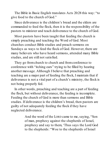The Bible in Basic English translates Acts 20:28 this way: "to give food to the church of God."

Since deliverance is the children's bread and the elders are commanded to feed the flock, then it is the responsibility of the pastors to minister and teach deliverance to the church of God.

Most pastors have been taught that feeding the church is simply preaching and teaching the Word of God. Most churches conduct Bible studies and preach sermons on Sundays as ways to feed the flock of God. However, there are many believers who have heard sermons, attended many Bible studies, and are still not satisfied.

They go fromchurch to church and fromconference to conference with "itching ears" trying to be filled by hearing another message. Although I believe that preaching and teaching are a major part of feeding the flock, I maintain that if deliverance is not a vital part of a church's ministry, the flock is not being properly fed.

In other words, preaching and teaching are a part of feeding the flock, but without deliverance, the feeding is incomplete. Feeding the church of God is more than sermons and Bible studies. If deliverance is the children's bread, then pastors are guilty of not adequately feeding the flock if they have neglected deliverance.

> And the word of the LORD came to me, saying, "Son of man, prophesy against the shepherds of Israel, prophesy and say to them, 'Thus says the Lord God to the shepherds: "Woe to the shepherds of Israel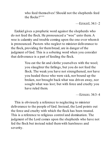who feed themselves! Should not the shepherds feed the flocks?"""

 $-$ EZEKIEL 34:1-2

Ezekiel gives a prophetic word against the shepherds who do not feed the flock. He pronounced a "woe" unto them. A woe is calamity and trouble coming upon the one over whomit is pronounced. Pastors who neglect to minister deliverance to the flock, providing for thembread, are in danger of the judgment of God. This is a sobering word when you consider that deliverance is a part of feeding the flock.

> You eat the fat and clothe yourselves with the wool; you slaughter the fatlings, but you do not feed the flock. The weak you have not strengthened, nor have you healed those who were sick, nor bound up the broken, nor brought back what was driven away, nor sought what was lost; but with force and cruelty you have ruled them.

> > $-$ EZEKIEL 34:3-4

This is obviously a reference to neglecting to minister deliverance to the people of God. Instead, the Lord points out the force and cruelty with which the flock has been treated. This is a reference to religious control and domination. The judgment of the Lord comes upon the shepherds who have not fed the flock but instead ruled themwith harshness and severity.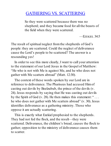## GATHERING VS. [SCATTERING](#page-4-0)

So they were scattered because there was no shepherd; and they became food for all the beasts of the field when they were scattered.

—EZEKIEL 34:5

The result of spiritual neglect fromthe shepherds of God's people: they are scattered. Could the neglect of deliverance cause the Lord's people to be scattered? The answer is a resounding yes!

In order to see this more clearly, I want to call your attention to the statement of our Lord Jesus in the Gospel of Matthew: "He who is not with Me is against Me, and he who does not gather with Me scatters abroad" (Matt. 12:30).

The context of these words spoken by our Lord are in reference to deliverance. The Pharisees had accused Himof casting out devils by Beelzubub, the prince of the devils (v. 24). Jesus responds by saying that He was casting out devils by the Spirit of God (v. 28). He then makes this statement: " . . . he who does not gather with Me scatters abroad" (v. 30). Jesus identifies deliverance as a gathering ministry. Those who oppose it are actually scattering.

This is exactly what Ezekiel prophesied to the shepherds. They had not fed the flock, and the result—they were scattered. Deliverance, the children's bread, causes the flock to gather; opposition to the ministry of deliverance causes them to scatter.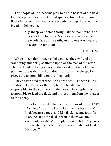The people of God become prey to all the beasts of the field. Beasts represent evilspirits. Evilspirits actually feast upon the flocks because they have no shepherds feeding themwith the bread of deliverance.

> My sheep wandered through all the mountains, and on every high hill; yes, My flock was scattered over the whole face of the earth, and no one was seeking or searching for them.

> > —EZEKIEL 34:6

When sheep don't receive deliverance, they will end up wandering and being scattered upon all the face of the earth. They will end up being a prey to the beasts of the field. The point to note is that the Lord does not blame the sheep; He places the responsibility on the shepherds.

I have often said that when the Lord sees His sheep in this condition, He looks for the shepherd. The shepherd is the one responsible for the condition of the flock. The shepherd is responsible to feed the flock and protect themfromthe ravages of the enemy.

> Therefore, you shepherds, hear the word of the LORD: "As I live," says the Lord God, "surely because My flock became a prey, and My flock became food for every beast of the field, because there was no shepherd, nor did My shepherds search for My flock, but the shepherds fed themselves and did not feed My flock."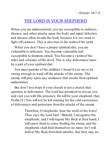## THE LORD IS YOUR [SHEPHERD](#page-4-1)

When you are malnourished, you are susceptible to sickness, disease, and other attacks upon the body and mind. Infection and disease often invade the body because it is too weak to fight off sickness. This is also true in the realmof the spirit.

When you don't have a proper spiritual diet, you are vulnerable to infection. You become vulnerable and susceptible to demonic attack. You become a victimof the wiles and schemes of the devil. This is why deliverance must be a part of your spiritual diet.

You must partake of the children's bread if you are to be strong enough to ward off the attacks of the enemy. The enemy will prey upon any weakness that results fromspiritual malnutrition.

But don't lose hope if your church is not a church that operates in deliverance. The Lord has promised to rescue you and visit you with His presence. He will be your shepherd. (See Psalm 23.) You will not be left wanting for the vital sustenance of deliverance and protection fromthe attacks of the enemy.

> Therefore, O shepherds, hear the word of the LORD! Thus says the Lord God: "Behold, I amagainst the shepherds, and I will require My flock at their hand; I will cause themto cease feeding the sheep, and the shepherds shall feed themselves no more; for I will deliver My flock fromtheir mouths, that they may no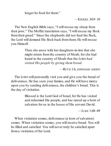longer be food for them."

—EZEKIEL 34:9–10

The New English Bible says, "I will rescue my sheep from their jaws." The Moffat translation says, "I will rescue my flock fromtheir greed." Since the shepherds did not feed the flock, the Lord will demand His flock back fromthem. He will rescue you Himself.

> Then she arose with her daughters-in-law that she might return fromthe country of Moab, for she had heard in the country of Moab that the LORD *had visited His people by giving them bread*.

> > —RUTH 1:6, EMPHASIS ADDED

The LORD will personally visit you and give you the bread of deliverance. He has seen your famine, and He will have mercy upon you by sending deliverance, the children's bread. This is the day of visitation.

> Blessed is the Lord God of Israel, for He has visited and redeemed His people, and has raised up a horn of salvation for us in the house of His servant David.

> > —LUKE 1:68–69

When visitation comes, deliverance (a horn of salvation) comes. When visitation comes, you will receive bread. You will be filled and satisfied. You will never truly be satisfied apart froma visitation of the Lord.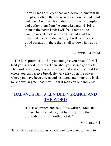So will I seek out My sheep and deliver themfromall the places where they were scattered on a cloudy and dark day. And I will bring themout fromthe peoples and gather themfromthe countries, and will bring themto their own land; I will feed themon the mountains of Israel, in the valleys and in all the inhabited places of the country. I will feed themin good pasture . . . there they shall lie down in a good fold.

—EZEKIEL 34:12–14

The Lord promises to visit you and give you bread. He will feed you in good pastures. There shall you lie in a good fold. The Lord is bringing you out of a bad fold and into a good fold where you can receive bread. He will visit you in the places where you have been driven and scattered and bring you back to lie down in green pastures. He willseek you out and visit you.

## BALANCE BETWEEN [DELIVERANCE](#page-4-2) AND THE WORD

But He answered and said, "It is written, 'Man shall not live by bread alone, but by every word that proceeds fromthe mouth of God.'"

—MATTHEW 4:4

Since I have used bread as a picture of deliverance, I want to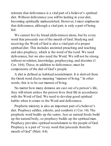reiterate that deliverance is a vital part of a believer's spiritual diet. Without deliverance you will be lacking in your diet, becoming spiritually malnourished. However, I must emphasize that deliverance, although a vital part, is only a part of being fed.

We cannot live by bread (deliverance) alone, but by every word that proceeds out of the mouth of God. Studying and receiving the Word of God is also a vital part of a proper spiritual diet. This includes anointed preaching and teaching and also prophecy, which is the word of the Lord. We need deliverance, but we also need the Word. We will not be strong without revelation, knowledge, prophesying, and doctrine (1 Cor. 14:6). These, in addition to deliverance, must be components of the diet of God's people.

A diet is defined as habitual nourishment. It is derived from the Greek word *diaita* meaning "manner of living." In other words, this is to be our manner of living.

No matter how many demons are cast out of a person's life, they will return unless the person lives their life in accordance with the Word of God. We need to develop good spiritual habits when it comes to the Word and deliverance.

Prophetic ministry is also an important part of a believer's diet. Prophecy edifies, exhorts, and comforts (1 Cor. 14). The prophetic word builds up the saints. Just as natural foods build up the natural body, so prophecy builds up the spiritual man. Prophecy provides spiritual nourishment to the people of God. Prophecy is a part of "every word that proceeds fromthe mouth of God" (Matt. 4:4).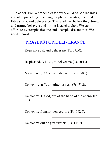In conclusion, a proper diet for every child of God includes anointed preaching, teaching, prophetic ministry, personal Bible study, and deliverance. The result will be healthy, strong, and mature believers and strong local churches. We cannot afford to overemphasize one and deemphasize another. We need themall!

## PRAYERS FOR [DELIVERANCE](#page-4-3)

Keep my soul, and deliver me (Ps. 25:20).

Be pleased, O LORD, to deliver me (Ps. 40:13).

Make haste, O God, and deliver me (Ps. 70:1).

Deliver me in Your righteousness (Ps. 71:2).

Deliver me, O God, out of the hand of the enemy (Ps. 71:4).

Deliver me frommy persecutors (Ps. 142:6).

Deliver me out of great waters (Ps. 144:7).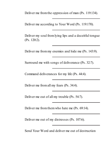Deliver me fromthe oppression of man (Ps. 119:134).

Deliver me according to Your Word (Ps. 119:170).

Deliver my soul fromlying lips and a deceitful tongue (Ps. 120:2).

Deliver me frommy enemies and hide me (Ps. 143:9).

Surround me with songs of deliverance (Ps. 32:7).

Command deliverances for my life (Ps. 44:4).

Deliver me fromall my fears (Ps. 34:4).

Deliver me out of all my trouble (Ps. 54:7).

Deliver me fromthemwho hate me (Ps. 69:14).

Deliver me out of my distresses (Ps. 107:6).

Send Your Word and deliver me out of destruction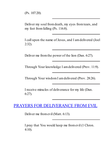(Ps. 107:20).

Deliver my soul fromdeath, my eyes fromtears, and my feet fromfalling (Ps. 116:8).

I call upon the name of Jesus, and I amdelivered (Joel 2:32).

Deliver me fromthe power of the lion (Dan. 6:27).

Through Your knowledge I amdelivered (Prov. 11:9).

Through Your wisdomI amdelivered (Prov. 28:26).

I receive miracles of deliverance for my life (Dan. 6:27).

### PRAYERS FOR [DELIVERANCE](#page-4-4) FROM EVIL

Deliver me fromevil (Matt. 6:13).

I pray that You would keep me fromevil (1 Chron. 4:10).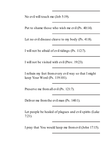No evil will touch me (Job 5:19).

Put to shame those who wish me evil (Ps. 40:14).

Let no evil disease cleave to my body (Ps. 41:8).

I will not be afraid of evil tidings (Ps. 112:7).

I will not be visited with evil (Prov. 19:23).

I refrain my feet fromevery evil way so that I might keep Your Word (Ps. 119:101).

Preserve me fromall evil (Ps. 121:7).

Deliver me fromthe evil man (Ps. 140:1).

Let people be healed of plagues and evil spirits (Luke 7:21).

I pray that You would keep me fromevil (John 17:15).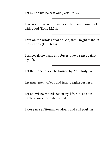Let evilspirits be cast out (Acts 19:12).

I will not be overcome with evil, but I overcome evil with good (Rom. 12:21).

I put on the whole armor of God, that I might stand in the evil day (Eph. 6:13).

I cancel all the plans and forces of evilsent against my life.

Let the works of evil be burned by Your holy fire.

Let men repent of evil and turn to righteousness.

Let no evil be established in my life, but let Your righteousness be established.

I loose myself fromall evildoers and evilsoul ties.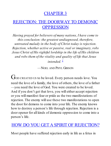## [CHAPTER](#page-5-0) 3

## REJECTION: THE DOORWAY TO DEMONIC **[OPPRESSION](#page-5-0)**

*Having prayed for believers of many nations, I have come to this conclusion: the greatest undiagnosed, therefore, untreated malady in the body of Christ today is rejection. Rejection, whether active or passive, real or imaginary, robs Jesus Christ of His rightful lordship in the life of His children and robs them of the vitality and quality of life that Jesus intended. [1](#page-171-0)*

—NOEL AND PHYL GIBSON

GOD CREATED US to be loved. Every person needs love. You need the love of a family, the love of others, the love of a father —you need the love of God. You were created to be loved. And if you don't get that love, you will either accept rejection or you will manifest fear or pride as the two manifestations of rejection. The enemy will use these two manifestations to open the door for demons to come into your life. The enemy knows how to destroy a person's life through rejection. Rejection is a door opener for all kinds of demonic oppression to come into a person's life.

### HOW DO YOU GET A SPIRIT OF [REJECTION?](#page-5-1)

Most people have suffered rejection early in life as a fetus in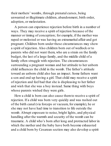their mothers' wombs, through prenatal curses, being unwanted or illegitimate children, abandonment, birth order, adoption, or molestation.

A person can experience rejection before birth in a number of ways. They may receive a spirit of rejection because of the manner or timing of conception; for example, if the mother was raped or molested or was having an extramarital affair and got pregnant. Children born under these circumstances may show a spirit of rejection. Also children born out of wedlock or to parents who did not want them, who are a strain on the family budget, the last of a large family, and the middle child of a family often struggle with rejection. The circumstances surrounding a pregnant woman and her attitude to her unborn child influences the child in the womb. The father's attitude toward an unborn child also has an impact. Some fathers want a son and end up having a girl. That child may receive a spirit of rejection and feel bad that she is displeasing to her father and wish that she was a boy instead. Same thing with boys whose parents wished they were girls.

How a child is born can also cause themto receive a spirit of rejection. If a child was born very quickly and was rushed out of the birth canal (via forceps or vacuum, for example), he or she may not have had time to transition to life outside the womb. Abrupt exposure to noise, bright lights, and physical handling after the warmth and security of the womb can be traumatic. A child who's born after long and protracted labor in which the mother and the baby have both become exhausted and a child born by Cesarean section may also develop a spirit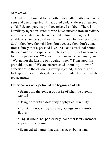of rejection.

A baby not bonded to its mother soon after birth may have a sense of being rejected. An adopted child is always a rejected child. Rejected parents produce rejected children. There is hereditary rejection. Parents who have suffered from hereditary rejection or who have been rejected before marriage will be unable to share personal warmth with their children. Without a doubt they love their children, but because they don't come froma family that expressed love or a close emotional bound, they are unable to express love physically. It is not uncommon to hear a parent say, "We are not a demonstrative family," or "We are not the kissing or hugging types." Translated this probably means, "We are embarrassed about any show of affection." So the children grow up rejected, insecure, and lacking in self-worth despite being surrounded by materialistic replacements.

### **Other causes of rejection at the beginning of life**

- Being born the gender opposite of what the parents wanted
- Being born with a deformity or physical disability
- Constant criticismby parents, siblings, or authority figures
- Unjust discipline, particularly if another family member appears to be favored
- Being called names that emphasize embarrassing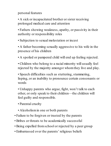personal features

• A sick or incapacitated brother or sister receiving prolonged medical care and attention

• Fathers showing weakness, apathy, or passivity in their authority or responsibility roles

• Subjection to sexual molestation or incest

• A father becoming sexually aggressive to his wife in the presence of his children

• A spoiled or pampered child will end up feeling rejected.

• Children who belong to a racial minority will usually feel rejected by the majority amongst whom they live and play.

• Speech difficulties such as stuttering, stammering, lisping, or an inability to pronounce certain consonants or words

• Unhappy parents who argue, fight, won't talk to each other, or only speak to their children—the children will feel guilty and responsible.

- Parental cruelty
- Alcoholismin one or both parents
- Failure to be forgiven or trusted by the parents
- Bribes or threats to be academically successful
- Being expelled fromschool or rejected by a peer group
- Embarrassed over the parents' religious beliefs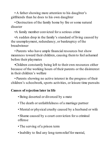• A father showing more attention to his daughter's girlfriends than he does to his own daughter

• Destruction of the family home by fire or some natural disaster

•A family member convicted for a serious crime

•A sudden drop in the family's standard of living caused by the unemployment, redundancy, or bankruptcy of the breadwinner

• Parents who have ample financial resources but show meanness toward their children, causing themto feel ashamed before their playmates

•Children constantly being left to their own resources either because of the working hours of their parents or the disinterest in their children's welfare

• Parents showing no active interest in the progress of their children's schoolwork, sports activities, or leisure time pursuits

### **Causes of rejection later in life**

- Being deserted or divorced by a mate
- The death or unfaithfulness of a marriage partner
- Mental or physical cruelty caused by a husband or wife
- Shame caused by a court conviction for a criminal offense
- The serving of a prison term
- Inability to find any long-termrelief for mental,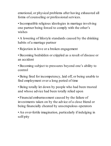emotional, or physical problems after having exhausted all forms of counseling or professionalservices.

• Incompatible religious ideologies in marriage involving one partner being forced to comply with the other's wishes

• A lowering of lifestyle standards caused by the drinking habits of a marriage partner

- Rejection in love or a broken engagement
- Becoming bedridden or crippled as a result of disease or an accident
- Becoming subject to pressures beyond one's ability to control
- Being fired for incompetency, laid off, or being unable to find employment over a long period of time
- Being totally let down by people who had been trusted and whose advice had been totally relied upon

• Financial embarrassment caused by the failure of investments taken on by the advice of a close friend or being financially cheated by unscrupulous operators

• An over-fertile imagination, particularly if indulging in self-pity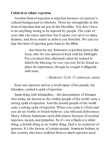### **Cultural or ethnic rejection**

Another formof rejection is rejection because of a person's cultural background or ethnicity. There are strongholds in this formof rejection that are just in the bloodline. You don't have to do anything wrong to be rejected by people. The color of your skin can cause rejection, but it opens you up to so many demons, and Jesus wants to deliver you fromthis. We can see that this kind of rejection goes back to the Bible.

> . . . lest there be any fornicator or profane person like Esau, who for one morsel of food sold his birthright. For you know that afterward, when he wanted to inherit the blessing, *he was rejected*, for he found no place for repentance, though he sought it diligently with tears.

> > —HEBREWS 12:16–17, EMPHASIS ADDED

Esau was rejected, and as a result many of his people, the Edomites, carried a spirit of rejection.

Same thing with Ishmaelites—the descendants of Ishmael, who today are known as the Arabic people of the world, carry a strong spirit of rejection. And the Jewish people of the world carry a strong spirit of rejection. When you come to Christ and you are an Arabic or Jewish believer, you will need deliverance. Many African Americans need deliverance because of societal rejection, racism, and prejudice. So it's not a black or a white thing, a Jewish thing or an Arabic thing. God is no respecter of persons. It's the history of certain people. American Indians in this country who have suffered fromso much rejection need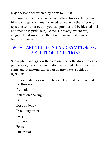major deliverance when they come to Christ.

If you have a familial, racial, or cultural history that is one filled with rejection, you will need to deal with these roots of rejection to be set free so you can prosper and be blessed and not operate in pride, fear, sickness, poverty, witchcraft, religion, legalism, and all the other demons that come in because of rejection.

# WHAT ARE THE SIGNS AND SYMPTOMS OF A SPIRIT OF [REJECTION?](#page-5-2)

Schizophrenia begins with rejection, opens the door for a split personality, making a person double minded. Here are some signs and symptoms that a person may have a spirit of rejection:

- A constant desire for physical love and assurance of self-worth
- Addiction
- Attention-seeking
- Despair
- Despondency
- Discouragement
- Envy
- Fantasy
- Fears
- Frustration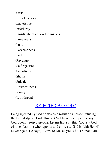- Guilt
- Hopelessness
- Impatience
- Inferiority
- Inordinate affection for animals
- Loneliness
- Lust
- Perverseness
- Pride
- Revenge
- Self-rejection
- Sensitivity
- Shame
- Suicide
- Unworthiness
- Vanity
- Withdrawal

# [REJECTED](#page-5-3) BY GOD?

Being rejected by God comes as a result of a person refusing the knowledge of God (Hosea 4:6). I have heard people say God doesn't reject anyone. Let me first say this: God is a God of love. Anyone who repents and comes to God in faith He will never reject. He says, "Come to Me, all you who labor and are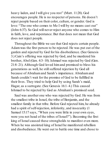heavy laden, and I will give you rest" (Matt. 11:28). God encourages people. He is no respecter of persons. He doesn't reject people based on their color, culture, or gender. God is love: "The one who comes to Me I will by no means cast out" (John 6:37). So God will never reject anyone who comes to Him in faith, love, and repentance. But that does not mean that God does not reject people.

Throughout the Bible we see that God rejects certain people. Adamwas the first person to be rejected. He was put out of the garden and rejected by God for his disobedience. (See Genesis 3.) Cain's offering was rejected by God, and he murdered his brother, Abel (Gen. 4:3–10). Ishmael was rejected by God (Gen. 21:8–21). Although God loved himand promised to bless his generations as well, he stillsuffered rejection by God all because of Abrahamand Sarah's impatience. Abrahamand Sarah couldn't wait for the promise of God to be fulfilled in their lives. They tried to help God by using Sarah's maid, Hagar, as a surrogate. (See Genesis 16:1–4.) This caused Ishmael to be rejected by God as Abraham's promised seed.

Saul was another one who was rejected by God. He was from the smallest tribe in Israel, the tribe of Benjamin, and the smallest family in that tribe. Before God rejected him, he already had a spirit of self-rejection, inferiority, and insecurity (1 Samuel 15:17 says, "When you were little in your own eyes, were you not head of the tribes of Israel?"). Becoming the first king of Israel caused these strongholds to manifest even more. When he was anointed king of Israel he manifested rebellion and disobedience. He went out to battle one time and chose to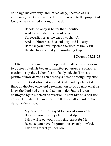do things his own way, and immediately, because of his arrogance, impatience, and lack of submission to the prophet of God, he was rejected as king of Israel.

> Behold, to obey is better than sacrifice, And to heed than the fat of rams. For rebellion is as the sin of witchcraft. And stubbornness is as iniquity and idolatry. Because you have rejected the word of the LORD, He also has rejected you frombeing king.

> > —1 SAMUEL 15:22–23

After this rejection the door opened for all kinds of demons to oppress Saul. He began to manifest paranoia, suspicion, a murderous spirit, witchcraft, and finally suicide. This is a picture of how demons can destroy a person through rejection.

It was not God who first rejected Saul. Saul rejected God through disobedience and determination to go against what he knew the Lord had commanded himto do. Saul's life was destroyed by this demon of rejection. It sent himon a collision course. His whole life went downhill. It was all a result of the demon of rejection.

> My people are destroyed for lack of knowledge. Because you have rejected knowledge, I also will reject you frombeing priest for Me; Because you have forgotten the law of your God, I also will forget your children.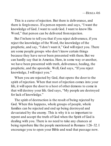This is a curse of rejection. But there is deliverance, and there is forgiveness. If a person repents and says, "I want the knowledge of God. I want to seek God. I want to know His Word," that person can be delivered from rejection.

But I'mhere to tell you that if you reject deliverance, if you reject the knowledge of the Word, the knowledge of the prophetic, and say, "I don't want it," God will reject you. There are some people groups who don't know certain things because they have never been presented with them. But we can hardly say that in America. Here, in some way or another, we have been presented with truth, deliverance, healing, the prophetic, and the apostolic. Well, God says, "If you reject knowledge, I will reject you."

When you are rejected by God, that opens the door to the spirit of rejection. When that root of rejection comes into your life, it will open the door to a host of other demons to come in that will destroy your life. God says, "My people are destroyed for lack of knowledge."

The spirit of destruction is the result of being rejected by God. When this happens, whole groups of people, whole families can be rejected and end up being destroyed and devastated by the enemy. This is why it is so important to repent and accept the truth of God when the Spirit of God is dealing with you. There is no need to take any chances at being reprobate like the people mentioned in Romans 1:26–32. I encourage you to open your Bible and read that passage now.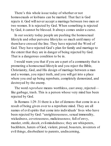There's this whole issue today of whether or not homosexuals or lesbians can be married. That fact is God rejects it. God will never accept a marriage between two men or two women. It is rejected by God. When something is rejected by God, it cannot be blessed. It always comes under a curse.

In our society today people are pushing the homosexual lifestyle and other perverse lifestyles so much until many of themhave crossed the line. They have rejected the Word of God. They have rejected God's plan for family and marriage to the extent that they are in danger of being rejected by God. That is a dangerous condition to be in.

I would warn you that if you are a part of a community that is promoting a homosexual lifestyle and you reject the Bible, Christianity, God, and His design of marriage between a man and a woman, you reject truth, and you will get into a place where you end up being reprobate, completely demonized, and destroyed by the enemy.

The word *reprobate* means worthless, cast away, rejected like garbage, trash. This is a person whose very mind has been rejected by God.

In Romans 1:29–31 there is a list of demons that come in as a result of being given over to a reprobate mind. They are all names of evilspirits that come into individuals' lives who have been rejected by God: "unrighteousness, sexual immorality, wickedness, covetousness, maliciousness; full of envy, murder, strife, deceit, evil-mindedness; they are whisperers, backbiters, haters of God, violent, proud, boasters, inventors of evil things, disobedient to parents, undiscerning,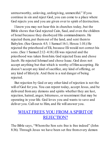untrustworthy, unloving, unforgiving, unmerciful." If you continue in sin and reject God, you can come to a place where God rejects you and you are given over to spirit of destruction.

I know you may not hear this in churches today, but the Bible shows that God rejected Cain, Saul, and even the children of Israel because they disobeyed His commandments. He rejected them, put themout of the land, and sent themto Babylon. (See Genesis 4:5; 1 Samuel 16:1; Hosea 1:10.) He rejected the priesthood of Eli, because Eli would not correct his sons. (See 1 Samuel 2:12–4:18.) Eli was rejected and the priesthood was taken fromhim. God rejected Esau and chose Jacob. He rejected Ishmael and chose Isaac. God does not accept anything but that which is worthy of Himaccepting. He doesn't accept any kind of sacrifice, any kind of offering, or any kind of lifestyle. And there is a real danger of being rejected.

But rejection by God or any other kind of rejection is not the will of God for you. You can repent today, accept Jesus, and be delivered fromany demons and spirits whether they are lust, rejection, hatred, anger, bitterness, or resentment that may be operating in your life. God loves you and wants to save and deliver you. Call out to Him, and He will answer you.

## WHAT FREES YOU FROM A SPIRIT OF [REJECTION?](#page-5-4)

The Bible says, "Whomthe Son sets free is free indeed" (John 8:36). Through Jesus we have been set free fromevery demon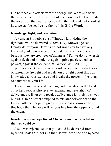in hindrance and attack fromthe enemy. His Word shows us the way to freedomfroma spirit of rejection to a life lived under the revelation that we are accepted in the Beloved. Let's look at how we can be set free by the truth in God's Word.

### **Knowledge, light, andrevelation**

A verse in Proverbs says, "Through knowledge the righteous will be delivered" (Prov. 11:9). Knowledge can literally deliver you. Demons do not want you to have any knowledge of deliverance or the realmof how they operate because they are creatures of darkness: "For we do not wrestle against flesh and blood, but against principalities, against powers, against the *rulers of the darkness*" (Eph. 6:12, emphasis added). Satan can only rule where there is darkness or ignorance. So light and revelation brought about through knowledge always exposes and breaks the power of the rulers of darkness in your life.

There is such a lack of teaching and revelation in the local churches. People who receive teaching and revelation of deliverance will not only receive deliverance for their own lives but will also be better equipped to minister deliverance to the lives of others. I hope to give you some basic knowledge in this book that I believe willset you free fromthe oppression of the enemy.

### **Revelation of the rejection of Christ Jesus was rejectedso that you couldbe**

Jesus was rejected so that you could be delivered from rejection. Isaiah 53:3 tells us that He was despised and rejected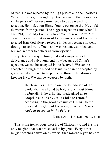of men. He was rejected by the high priests and the Pharisees. Why did Jesus go through rejection as one of the major areas in His passion? Because man needs to be delivered from rejection. He took upon Himself our rejection so that He could deliver us fromrejection. The biggest rejection came when He said, "My God, My God, why have You forsaken Me" (Matt. 27:46), because at that moment He became sin, and His Father rejected Him. God always rejects sin. Jesus became sin, went through rejection, suffered, and was beaten, wounded, and bruised in order to deliver us fromrejection.

Rejection is a major stronghold and a major aspect of deliverance and salvation. And now because of Christ's rejection, we can be accepted in the Beloved. We can be accepted through the blood of Jesus. We can be accepted by grace. We don't have to be perfected through legalismor keeping laws. We can be accepted by faith.

> He chose us in Himbefore the foundation of the world, that we should be holy and without blame before Himin love, having predestined us to adoption as sons by Jesus Christ to Himself, according to the good pleasure of His will, to the praise of the glory of His grace, by which *He has made us accepted in the Beloved*.

> > —EPHESIANS 1:4–6, EMPHASIS ADDED

This is the tremendous blessing of Christianity, and it is the only religion that teaches salvation by grace. Every other religion teaches salvation by works, that somehow you have to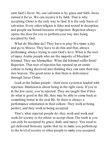earn God's favor. No, our salvation is by grace and faith. Jesus earned it for us. We can receive it by faith. That is why accepting Christ is the only way to God. It is the only basis of salvation. Every other religion is false and rooted in deception, and people are bound because of rejection. Rejection always opens the door for you to performyour way into being accepted by God.

What do Muslims do? They have to pray five times a day and go to Mecca. They have to do this and that, always performing, always trying to earn God's love. What is the root of many Arabic people who are the majority of Muslims? Ishmael. They are Ishmaelites. What did Ishmaelsuffer from? Rejection. That root of rejection has opened up an entire culture to being deceived into thinking they can earn their way into heaven. The good news is that there is deliverance through Jesus Christ.

Look at the Indian people—their caste systemis loaded with rejection. Hinduismis about being in the right caste. If you're in the low caste, you're rejected. They are taught that if they do what is good in this life, they may be able to come back as something better in the next life. So there is always a performance orientation in their culture. They work at being perfect, and they work at being accepted.

That's what rejected people do: they work and work and work for society or for others to accept them. The truth is you can only be accepted by grace, faith, and mercy. You need to get delivered fromany spirits that try to make you performup to the level of society or other people to make you accepted.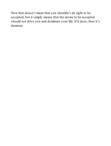Now that doesn't mean that you shouldn't do right to be accepted, but it simply means that the desire to be accepted should not drive you and dominate your life. If it does, then it's demonic.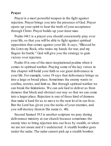### **Prayer**

Prayer is a most powerful weapon in the fight against rejection. Prayer brings you into the presence of God. Prayer opens up your spirit to hear the truth of your acceptance through Christ. Prayer builds up your inner man.

Psalm144:1 is a prayer you should consistently pray over your life, so that you will be able to fight against spiritual opposition that comes against your life. It says, "Blessed be the LORD my Rock, who trains my hands for war, and my fingers for battle." God will give you the strategy to gain victory over rejection.

Psalm18 is one of the most inspirational psalms when it comes to spiritual warfare. Praying some of the key verses in this chapter will build your faith to see great deliverance in your life. For example, verse 19 says that deliverance brings us into a large or broad place. Sometimes the enemy wants to confine, restrict, and limit us. But through spiritual warfare we can break the limitations. We can ask God to deliver us from demons that block and obstruct our way so that we can come into a larger place. Rejection is one of these kind of demons that make it hard for us to move to the next level in our lives. But the Lord has given you the necks of your enemies, and you will destroy themin His name (v. 40).

Second Samuel 19:3 is another scripture we pray during deliverance ministry at our church because sometimes the enemy tries to bring rejection into our lives by stealth, or when we are not aware and it's undetected. A stealth bomber goes under the radar. The radar cannot pick up a stealth bomber.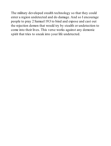The military developed stealth technology so that they could enter a region undetected and do damage. And so I encourage people to pray 2 Samuel 19:3 to bind and expose and cast out the rejection demon that would try by stealth or undetection to come into their lives. This verse works against any demonic spirit that tries to sneak into your life undetected.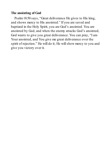#### **The anointing of God**

Psalm18:50 says, "Great deliverance He gives to His king, and shows mercy to His anointed." If you are saved and baptized in the Holy Spirit, you are God's anointed. You are anointed by God, and when the enemy attacks God's anointed, God wants to give you great deliverance. You can pray, "I am Your anointed, and You give me great deliverance over the spirit of rejection." He will do it; He will show mercy to you and give you victory over it.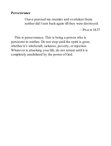#### **Perseverance**

I have pursued my enemies and overtaken them; neither did I turn back again till they were destroyed.

—PSALM 18:37

This is perseverance. This is being a person who is persistent in warfare. Do not stop until the spirit is gone, whether it's witchcraft, sickness, poverty, or rejection. Whatever is attacking your life, do not retreat until it is completely annihilated by the power of God.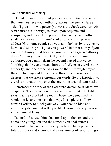#### **Your spiritual authority**

One of the most important principles of spiritual warfare is that you must use your authority against the enemy. Jesus said, "I give unto *you* power [*power* is the Greek word *exousia*, which means 'authority'] to tread upon serpents and scorpions, and over all the power of the enemy: and nothing shall by any means hurt you" (Luke 10:19, KJV, emphasis added). Now some people say you can't be hurt by the enemy, because Jesus says, "I give you power." But that's only if you *use* the authority. Just because you have been given authority doesn't mean you've used it. If you don't exercise your authority, you cannot claimthe second part of that verse, "nothing shall by any means hurt you." We must exercise our authority, and one of the ways we do that is through prayer, through binding and loosing, and through commands and decrees that we release through our words. So it's important to exercise your authority over the enemy on a consistent basis.

Remember the story of the Gatherene demoniac in Matthew chapter 8? There were two of themin the account. The Bible says that they blocked the road. Those two demonized men would not let anyone pass that way. It is a picture of how demons will try to block your way. You need to bind and rebuke any demon that will try to block your path or your way in the name of Jesus.

Psalm91:13 says, "You shall tread upon the lion and the cobra, the young lion and the serpent you shall trample underfoot." The enemy is under your feet. That represents total authority and victory. Make this your confession and go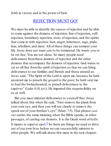forth in victory and in the power of God.

### [REJECTION](#page-5-5) MUST GO!

We must be able to identify the causes of rejection and be able to come against the demons of rejection, fear of rejection, selfrejection, hereditary rejection, roots of rejection, and the spirits that come in with rejection: hurt, anger, bitterness, rage, pride, fear, rebellion, and more. All of these things can torment your life. Jesus does not want you to be tormented. He wants you to be set free. You are not alone. So many people need deliverance fromthese demons of rejection and the other demons that accompany the demons of rejection. God wants to set us all free fromthe spirit of rejection so that we can bring deliverance to our families and friends and those around us. Jesus said, "The Spirit of the Lord is upon me, because he hath anointed me to preach the gospel to the poor; he hath sent me to heal the brokenhearted, to preach deliverance to the captives" (Luke 4:18, KJV). He imparted this responsibility on us as well.

But you must minister deliverance to yourself first. Jesus talked about this when He said, "First remove the plank from your own eye, and then you willsee clearly to remove the speck out of your brother's eye" (Matt. 7:5). That phrase *cast out* carries the same meaning when the Bible speaks, in other passages, of casting out demons. It is the Greek word *ekballo*. It means to expel or eject. $\frac{2}{5}$  $\frac{2}{5}$  $\frac{2}{5}$  So there are things we need to drive out of our own lives before we can successfully minister to other people. We will talk about this more in the next chapter.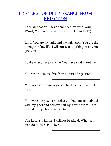## PRAYERS FOR [DELIVERANCE](#page-5-0) FROM **REJECTION**

I declare that You have sanctified me with Your Word; Your Word over me is truth (John 17:17).

Lord, You are my light and my salvation. You are the strength of my life. I will not fear anything or anyone (Ps. 27:1).

I believe and receive what You have said about me.

Your truth sets me free froma spirit of rejection.

You have nailed my rejection to the cross. I amset free.

You were despised and rejected. You are acquainted with my grief and sorrow. But by Your stripes, I am healed of rejection (Isa. 53:3–5).

The Lord is with me. I will not be afraid. What can man do to me? (Ps. 118:6).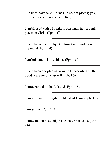The lines have fallen to me in pleasant places; yes, I have a good inheritance (Ps 16:6).

I amblessed with allspiritual blessings in heavenly places in Christ (Eph. 1:3).

I have been chosen by God fromthe foundation of the world (Eph. 1:4).

I amholy and without blame (Eph. 1:4).

I have been adopted as Your child according to the good pleasure of Your will (Eph. 1:5).

I amaccepted in the Beloved (Eph. 1:6).

I amredeemed through the blood of Jesus (Eph. 1:7).

I aman heir (Eph. 1:11).

I amseated in heavenly places in Christ Jesus (Eph. 2:6).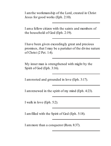I amthe workmanship of the Lord, created in Christ Jesus for good works (Eph. 2:10).

I ama fellow citizen with the saints and members of the household of God (Eph. 2:19).

I have been given exceedingly great and precious promises, that I may be a partaker of the divine nature of Christ (2 Pet. 1:4).

My inner man is strengthened with might by the Spirit of God (Eph. 3:16).

I amrooted and grounded in love (Eph. 3:17).

I amrenewed in the spirit of my mind (Eph. 4:23).

I walk in love (Eph. 5:2).

I amfilled with the Spirit of God (Eph. 5:18).

I ammore than a conqueror (Rom. 8:37).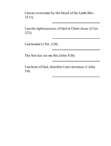I aman overcomer by the blood of the Lamb (Rev. 12:11).

I amthe righteousness of God in Christ Jesus (2 Cor. 5:21).

I amhealed (1 Pet. 2:24).

The Son has set me free (John 8:36).

I amborn of God, therefore I amvictorious (1 John 5:4).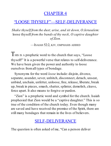#### [CHAPTER](#page-5-1) 4

### "LOOSE [THYSELF"—SELF-DELIVERANCE](#page-5-1)

*Shake thyself from the dust; arise, and sit down, O Jerusalem:* loose thyself *from the bands of thy neck, O captive daughter of Zion.*

—ISAIAH 52:2, KJV, EMPHASIS ADDED

 $T<sub>HIS ISA</sub>$  prophetic word to the church that says, "Loose thyself!" It is a powerful verse that relates to self-deliverance. We have been given the power and authority to loose ourselves fromall types of bondage.

Synonyms for the word *loose* include: disjoin, divorce, separate, asunder, sever, unhitch, disconnect, detach, unseat, unbind, unchain, unfetter, unloose, free, release, liberate, break up, break in pieces, smash, shatter, splinter, demolish, cleave, force apart. It also means to forgive or pardon.

"Zion" is a prophetic word and symbol for the church. Isaiah prophesied that Zion would be a "captive daughter." This is so true of the condition of the church today. Even though many are saved and have received the promise of the Spirit, there are still many bondages that remain in the lives of believers.

#### [SELF-DELIVERANCE](#page-5-2)

The question is often asked of me, "Can a person deliver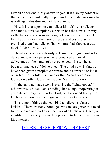himself of demons?" My answer is yes. It is also my conviction that a person cannot really keep himself free of demons until he is walking in this dominion of deliverance.

How is it that a person can deliver himself? As a believer (and that is our assumption), a person has the same authority as the believer who is ministering deliverance to another. He has the authority in the name of Jesus, and Jesus plainly promised themthat believe: "In my name shall they cast out devils" (Mark 16:17, KJV).

Usually a person needs only to learn how to go about selfdeliverance. After a person has experienced an initial deliverance at the hands of an experienced minister, he can begin to practice self-deliverance.<sup>[1](#page-171-0)</sup> The good news is that we have been given a prophetic promise and a command to loose ourselves. Jesus told His disciples that "whatsoever" we loosed on earth is loosed in heaven (Matt. 18:18, KJV).

In the ensuing pages we will examine the "whatsoever." In other words, whatsoever is binding, harassing, or operating in your life, contrary to the will of God, can be loosed fromyour life because you have been given the authority to do so.

The range of things that can bind a believer is almost limitless. There are many bondages we can categorize that need to be exposed and broken in the lives of all believers. Once you identify the enemy, you can then proceed to free yourself from his clutches.

## LOOSE [THYSELF](#page-5-3) FROM THE PAST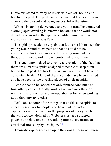I have ministered to many believers who are still bound and tied to their past. The past can be a chain that keeps you from enjoying the present and being successful in the future.

While ministering deliverance to a young man, I encountered a strong spirit dwelling in himwho boasted that he would not depart. I commanded the spirit to identify himself, and he replied that his name was Past.

The spirit proceeded to explain that it was his job to keep the young man bound to his past so that he could not be successful in his Christian walk. The young man had been through a divorce, and his past continued to haunt him.

This encounter helped to give me a revelation of the fact that there are numerous spirits assigned to people to keep them bound to the past that has left scars and wounds that have not completely healed. Many of these wounds have been infected and have become the dwelling places of unclean spirits.

People need to be loosed not only fromdemons but also fromother people. Ungodly soul ties are avenues through which spirits of control and manipulation utilize when working upon their unwary victims.

Let's look at some of the things that could cause spirits to attach themselves to people who have had traumatic experiences in their past. For the purposes of clarity, we find the word *trauma* defined by Webster's as "a disordered psychic or behavioralstate resulting fromsevere mental or emotional stress or physical injury."<sup>[2](#page-171-1)</sup>

Traumatic experiences can open the door for demons. These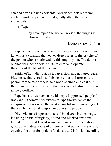can and often include accidents. Mentioned below are two such traumatic experiences that greatly affect the lives of individuals.

#### **1. Rape**

They have raped the women in Zion, the virgins in the towns of Judah.

—LAMENTATIONS 5:11, JB

Rape is one of the most traumatic experiences a person can have. It is a violation that leaves deep scares in the psyche of the person who is victimized by this ungodly act. The door is opened for a host of evilspirits to enter and operate throughout the life of the victim.

Spirits of hurt, distrust, lust, perversion, anger, hatred, rage, bitterness, shame, guilt, and fear can enter and torment the person for the rest of their life if not discerned and cast out. Rape can also be a curse, and there is often a history of this sin in the bloodline.

Rape has always been in the history of oppressed people. It was (and is) common for victors to rape the women of the vanquished. It is one of the most shameful and humiliating acts that can be perpetrated upon an oppressed people.

Often victims of rape carry sexual blockages into marriage, including spirits of frigidity, bound and blocked emotions, hatred of men, and fear of sexual intercourse. Individuals can grow up with deep roots of bitterness that poison the system, opening the door for spirits of sickness and infirmity, including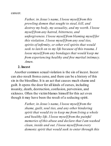cancer.

*Father, in Jesus's name, I loose myself from this prowling demon that sought to steal, kill, and destroy my body, my sexuality, and my worth. I loose myself from any hatred, bitterness, and unforgiveness. I loose myself from blaming myself for this violation. I loose myself from any soul ties, spirits of infirmity, or other evil spirits that would seek to latch on to my life because of this trauma. I loose myself from any bondages that would keep me from experiencing healthy and free marital intimacy. Amen.*

#### **2. Incest**

Another common sexual violation is the sin of incest. Incest can also result froma curse, and there can be a history of this sin in the bloodline. It is an act that causes much shame and guilt. It opens the door for all kinds of curses, including insanity, death, destruction, confusion, perversion, and sickness. Often the victimblames himself for this act even though it may have been the result of a seducing spirit.

> *Father, in Jesus's name, I loose myself from the shame, guilt, soul ties, and any other hindering spirit that would try to keep me from living a whole and healthy life. I loose myself from the painful memories of this abuse and declare that I am washed clean, inside and out. I loose myself from every demonic spirit that would seek to enter through this*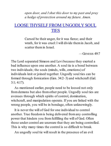*open door, and I shut this door to my past and pray a hedge of protection around my future. Amen.*

## LOOSE THYSELF FROM [UNGODLY](#page-5-4) SOUL TIES

Cursed be their anger, for it was fierce; and their wrath, for it was cruel: I will divide themin Jacob, and scatter themin Israel.

—GENESIS 49:7

The Lord separated Simeon and Levi because they exerted a bad influence upon one another. A soul tie is a bond between two individuals; the souls (minds, wills, emotions) of individuals knit or joined together. Ungodly soul ties can be formed through fornication (Gen. 34:2–3) and witchcraft (Gal. 3:1; 4:17).

As mentioned earlier, people need to be loosed not only fromdemons but also fromother people. Ungodly soul ties are avenues through which spirits of control, domination, witchcraft, and manipulation operate. If you are linked with the wrong people, you will be in bondage, often unknowingly.

It is never the will of God for one individual to control another. True freedomis being delivered fromany controlling power that hinders you fromfulfilling the will of God. Often those under control are unaware that they are being controlled. This is why many times the control is so difficult to break.

An ungodly soul tie will result in the presence of an evil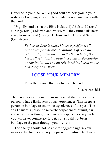influence in your life. While good soul ties help you in your walk with God, ungodly soul ties hinder you in your walk with the Lord.

Ungodly soul ties in the Bible include: 1) Ahab and Jezebel (1 Kings 18); 2) Solomon and his wives—they turned his heart away fromthe Lord (1 Kings 11:1–4); and 3) Levi and Simeon (Gen. 49:5–7).

> *Father, in Jesus's name, I loose myself from all relationships that are not ordained of God, all relationships that are not of the Spirit but of the flesh, all relationship based on control, domination, or manipulation, and all relationships based on lust and deception. Amen.*

## LOOSE YOUR [MEMORY](#page-5-5)

Forgetting those things which are behind ...

—PHILIPPIANS 3:13

There is an evilspirit named memory recall that can cause a person to have flashbacks of past experiences. This keeps a person in bondage to traumatic experiences of the past. This spirit causes a person to remember experiences of hurt, pain, and rejection. Although there may be experiences in your life you will never completely forget, you should not be in bondage to the past through your memory.

The enemy should not be able to trigger things in your memory that hinder you in your present or future life. This is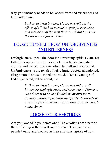why your memory needs to be loosed frombad experiences of hurt and trauma.

> *Father, in Jesus's name, I loose myself from the ef ects of all the bad memories, painful memories, and memories of the past that would hinder me in the present or future. Amen.*

# LOOSE THYSELF FROM [UNFORGIVENESS](#page-5-6) AND BITTERNESS

Unforgiveness opens the door for tormenting spirits (Matt. 18). Bitterness opens the door for spirits of infirmity, including arthritis and cancer. It is symbolized by gall and wormwood. Unforgiveness is the result of being hurt, rejected, abandoned, disappointed, abused, raped, molested, taken advantage of, lied on, cheated, talked about, *etc.*

> *Father, in Jesus's name, I loose myself from all bitterness, unforgiveness, and resentment. I loose to God those who have of ended me or hurt me in anyway. I loose myself from all spirits of infirmity as a result of my bitterness. I close that door, in Jesus's name. Amen.*

## LOOSE YOUR [EMOTIONS](#page-5-7)

Are you loosed in your emotions? The emotions are a part of the soul along with the will and the mind. There are many people bound and blocked in their emotions. Spirits of hurt,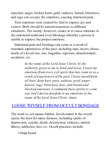rejection, anger, broken heart, grief, sadness, hatred, bitterness, and rage can occupy the emotions, causing emotional pain.

Your emotions were created by God to express joy and sorrow. Both should be natural responses to different situations. The enemy, however, comes in to cause extremes in the emotional realmand even blockage whereby a person is unable to express the proper emotions.

Emotional pain and bondage can come as a result of traumatic experiences of the past, including rape, incest, abuse, death of a loved one, war, tragedies, rejection, abandonment, accidents, *etc.*

> *In the name of the Lord Jesus Christ, by the authority given to me to bind and loose, I loose my emotions from every evil spirit that has come in as a result of experiences of the past. I loose myself from all hurt, deep hurt, pain, sadness, grief, anger, hatred, rage, bitterness, fear, and bound and blocked emotions. I command these spirits to come out, and I decree freedom to my emotions in the name of the Lord Jesus Christ. Amen.*

## LOOSE THYSELF FROM OCCULT BONDAGE

The word *occult* means hidden. Involvement in the occult opens the door for many demons, including spirits of depression, suicide, death, destruction, sickness, mental illness, addiction, lust, *etc.* Occult practices include:

• Ouija board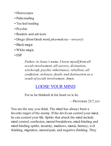- Horoscopes
- Palmreading
- Tea leaf reading
- Psychic
- Readers and advisers
- Drugs (fromGreek word *pharmakeia*—*sorcery*)
- Black magic
- White magic
- ESP

*Father, in Jesus's name, I loose myself from all occult involvement, all sorcery, divination, witchcraft, psychic inheritance, rebellion, all confusion, sickness, death, and destruction as a result of occult involvement. Amen.*

## [LOOSE](#page-5-9) YOUR MIND

For as he thinketh in his heart so is he.

—PROVERBS 23:7, KJV

You are the way you think. The mind has always been a favorite target of the enemy. If the devil can control your mind, he can control your life. Spirits that attack the mind include mind control, confusion, mental breakdown, mind-binding and mind-binding spirits, insanity, madness, mania, fantasy, evil thinking, migraines, mental pain, and negative thinking. They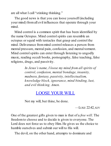are all what I call "stinking thinking."

The good news is that you can loose yourself (including your mind) fromall evil influences that operate through your mind.

Mind control is a common spirit that has been identified by the name Octopus. Mind controlspirits can resemble an octopus or squid with tentacles that grasp and control the mind. Deliverance frommind control releases a person from mental pressure, mental pain, confusion, and mental torment. Mind controlspirits can enter through listening to ungodly music, reading occult books, pornography, false teaching, false religions, drugs, and passivity.

> *In Jesus's name, I loose my mind from all spirits of control, confusion, mental bondage, insanity, madness, fantasy, passivity, intellectualism, knowledge block, ignorance, mind binding, lust, and evil thinking. Amen.*

### [LOOSE](#page-5-10) YOUR WILL

Not my will, but thine, be done.

—LUKE 22:42, KJV

One of the greatest gifts given to man is that of a *free will*. The freedomto choose and to decide is given to everyone. The Lord does not force us to obey Him. He gives us the choice to humble ourselves and submit our will to His will.

The devil, on the other hand, attempts to dominate and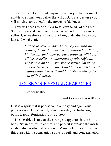control our will for his evil purposes. When you find yourself unable to submit your will to the will of God, it is because your will is being controlled by the powers of darkness.

Your will needs to be *loosed* to follow the will of the Lord. Spirits that invade and control the will include stubbornness, self-will, anti-submissiveness, rebellion, pride, disobedience, lust and witchcraft.

> *Father, in Jesus's name, I loose my will from all control, domination, and manipulation from Satan, his demons, and other people. I loose my will from all lust, rebellion, stubbornness, pride, self-will, selfishness, and anti-submissive spirits that block and hinder my will. I break and loose myself from all chains around my will, and I submit my will to the will of God. Amen.*

### LOOSE YOUR SEXUAL [CHARACTER](#page-5-11)

Flee fornication.

—1 CORINTHIANS 6:18, KJV

Lust is a spirit that is pervasive in our day and age. Sexual perversion includes incest, homosexuality, masturbation, pornography, fornication, and adultery.

The sexdrive is one of the strongest appetites in the human body. Satan desires to control and pervert it outside the marital relationship in which it is blessed. Many believers struggle in this area with the companion spirits of guilt and condemnation.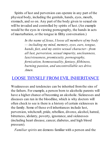Spirits of lust and perversion can operate in any part of the physical body, including the genitals, hands, eyes, mouth, stomach, and so on. Any part of the body given to sexualsin will be invaded and controlled by spirits of lust. (An example would be the eyes in viewing pornography, the hands in acts of masturbation, or the tongue in filthy conversation.)

> *In the name of Jesus, I loose all members of my body — including my mind, memory, eyes, ears, tongue, hands, feet, and my entire sexual character—from all lust, perversion, sexual impurity, uncleanness, lasciviousness, promiscuity, pornography, fornication, homosexuality, fantasy, filthiness, burning passion, and uncontrollable sex drive. Amen.*

# LOOSE THYSELF FROM EVIL [INHERITANCE](#page-5-12)

Weaknesses and tendencies can be inherited fromthe sins of the fathers. For example, a person born to alcoholic parents will have a higher chance of becoming an alcoholic. Sicknesses and diseases can run in the bloodline, which is why doctors will often check to see is there is a history of certain sicknesses in the family. Some of these evil inheritances include lust, perversion, witchcraft, pride, rebellion, divorce, alcohol, hatred, bitterness, idolatry, poverty, ignorance, and sicknesses (including heart disease, cancer, diabetes, and high blood pressure).

*Familiar spirits* are demons familiar with a person and the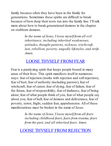family because often they have been in the family for generations. Sometimes these spirits are difficult to break because of how deep their roots run into the family line. I'll talk more about how to break generational demons in the chapter on stubborn demons.

> *In the name of Jesus, I loose myself from all evil inheritance, including inherited weaknesses, attitudes, thought patterns, sickness, witchcraft, lust, rebellion, poverty, ungodly lifestyles, and strife. Amen.*

# LOOSE [THYSELF](#page-5-13) FROM FEAR

Fear is a paralyzing spirit that keeps people bound in many areas of their lives. This spirit manifests itself in numerous ways: fear of rejection (works with rejection and self-rejection). fear of hurt, fear of authority (including pastors), fear of witchcraft, fear of career, fear of dying, fear of failure, fear of the future, fear of responsibility, fear of darkness, fear of being alone, fear of what people think of you, fear of what people say about you, fear of hell, fear of demons and deliverance, fear of poverty, terror, fright, sudden fear, apprehension. All of these manifestations must be broken in the name of Jesus.

> *In the name of Jesus, I loose myself from all fears including childhood fears, fears from trauma, fears from the past, and all inherited fears. Amen.*

## LOOSE THYSELF FROM [REJECTION](#page-5-14)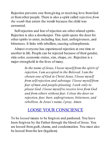Rejection prevents one fromgiving or receiving love fromGod or fromother people. There is also a spirit called *rejection from the womb* that enters the womb because the child was unwanted.

Self-rejection and fear of rejection are other related spirits. Rejection is also a doorkeeper. This spirit opens the door for other spirits to enter, including fear, hurt, unforgiveness, and bitterness. It links with rebellion, causing schizophrenia.

Almost everyone has experienced rejection at one time or another in life. People can be rejected because of their gender, skin color, economic status, size, shape, *etc.* Rejection is a major stronghold in the lives of many.

> *In the name of Jesus, I loose myself from the spirit of rejection. I am accepted in the Beloved. I am the chosen one of God in Christ Jesus. I loose myself from self-rejection and sabotage. I loose myself from fear of man and people-pleasing. I seek only to please God. I loose myself to receive love from God and from others without fear. I close the door on rejection, fear, hurt, unforgiveness, bitterness, and rebellion. In Jesus's name, I pray. Amen.*

## LOOSE YOUR [CONSCIENCE](#page-6-0)

To be *loosed* means to be forgiven and pardoned. You have been forgiven by the Father through the blood of Jesus. You are loosed fromguilt, shame, and condemnation. You must also be loosed fromthe law (legalism).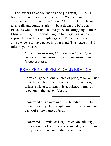The law brings condemnation and judgment, but Jesus brings forgiveness and reconciliation. We loose our conscience by applying *the blood of Jesus,* by faith. Satan uses guilt and condemnation to beat down the believers. Believers who don't understand grace are struggling in their Christian lives, never measuring up to religious standards imposed upon themthrough legalism. To be free in your conscience is to have peace in your mind. The peace of God rules in your heart.

> *In the name of Jesus, I loose myself from all guilt, shame, condemnation, self-condemnation, and legalism. Amen.*

### PRAYERS FOR [SELF-DELIVERANCE](#page-6-1)

I break all generational curses of pride, rebellion, lust, poverty, witchcraft, idolatry, death, destruction, failure, sickness, infirmity, fear, schizophrenia, and rejection in the name of Jesus.

I command all generational and hereditary spirits operating in my life through curses to be bound and cast out in the name of Jesus.

I command allspirits of lust, perversion, adultery, fornication, uncleanness, and immorality to come out of my sexual character in the name of Jesus.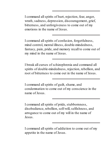I command allspirits of hurt, rejection, fear, anger, wrath, sadness, depression, discouragement, grief, bitterness, and unforgiveness to come out of my emotions in the name of Jesus.

I command allspirits of confusion, forgetfulness, mind control, mental illness, double-mindedness, fantasy, pain, pride, and memory recall to come out of my mind in the name of Jesus.

I break all curses of schizophrenia and command all spirits of double-mindedness, rejection, rebellion, and root of bitterness to come out in the name of Jesus.

I command allspirits of guilt, shame, and condemnation to come out of my conscience in the name of Jesus.

I command allspirits of pride, stubbornness, disobedience, rebellion, self-will, selfishness, and arrogance to come out of my will in the name of Jesus.

I command allspirits of addiction to come out of my appetite in the name of Jesus.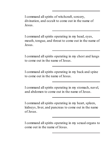I command allspirits of witchcraft, sorcery, divination, and occult to come out in the name of Jesus.

I command allspirits operating in my head, eyes, mouth, tongue, and throat to come out in the name of Jesus.

I command allspirits operating in my chest and lungs to come out in the name of Jesus.

I command allspirits operating in my back and spine to come out in the name of Jesus.

I command allspirits operating in my stomach, navel, and abdomen to come out in the name of Jesus.

I command allspirits operating in my heart, spleen, kidneys, liver, and pancreas to come out in the name of Jesus.

I command allspirits operating in my sexual organs to come out in the name of Jesus.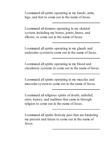I command allspirits operating in my hands, arms, legs, and feet to come out in the name of Jesus.

I command all demons operating in my skeletal system, including my bones, joints, knees, and elbows, to come out in the name of Jesus.

I command allspirits operating in my glands and endocrine systemto come out in the name of Jesus.

I command allspirits operating in my blood and circulatory systems to come out in the name of Jesus.

I command allspirits operating in my muscles and muscular systemto come out in the name of Jesus.

I command all religious spirits of doubt, unbelief, error, heresy, and tradition that came in through religion to come out in the name of Jesus.

I command allspirits frommy past that are hindering my present and future to come out in the name of Jesus.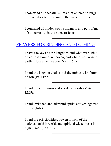I command all ancestralspirits that entered through my ancestors to come out in the name of Jesus.

I command all hidden spirits hiding in any part of my life to come out in the name of Jesus.

## [PRAYERS](#page-6-2) FOR BINDING AND LOOSING

I have the keys of the kingdom, and whatever I bind on earth is bound in heaven, and whatever I loose on earth is loosed in heaven (Matt. 16:19).

I bind the kings in chains and the nobles with fetters of iron (Ps. 149:8).

I bind the strongman and spoil his goods (Matt. 12:29).

I bind leviathan and all proud spirits arrayed against my life (Job 41:5).

I bind the principalities, powers, rulers of the darkness of this world, and spiritual wickedness in high places (Eph. 6:12).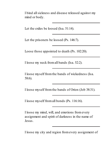I bind allsickness and disease released against my mind or body.

Let the exiles be loosed (Isa. 51:14).

Let the prisoners be loosed (Ps. 146:7).

Loose those appointed to death (Ps. 102:20).

I loose my neck fromall bands (Isa. 52:2).

I loose myself fromthe bands of wickedness (Isa. 58:6).

I loose myself fromthe bands of Orion (Job 38:31).

I loose myself fromall bonds (Ps. 116:16).

I loose my mind, will, and emotions fromevery assignment and spirit of darkness in the name of Jesus.

I loose my city and region fromevery assignment of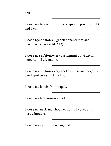hell.

I loose my finances fromevery spirit of poverty, debt, and lack.

I loose myself fromall generational curses and hereditary spirits (Gal. 3:13).

I loose myself fromevery assignment of witchcraft, sorcery, and divination.

I loose myself fromevery spoken curse and negative word spoken against my life.

I loose my hands frominiquity.

I loose my feet frommischief.

I loose my neck and shoulder fromall yokes and heavy burdens.

I loose my eyes fromseeing evil.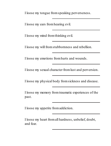I loose my tongue fromspeaking perverseness.

I loose my ears fromhearing evil.

I loose my mind fromthinking evil.

I loose my will fromstubbornness and rebellion.

I loose my emotions fromhurts and wounds.

I loose my sexual character fromlust and perversion.

I loose my physical body fromsickness and disease.

I loose my memory fromtraumatic experiences of the past.

I loose my appetite fromaddiction.

I loose my heart fromall hardness, unbelief, doubt, and fear.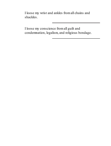I loose my wrist and ankles fromall chains and shackles.

I loose my conscience fromall guilt and condemnation, legalism, and religious bondage.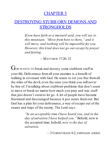### [CHAPTER](#page-6-3) 5

## DESTROYING STUBB ORN DEMONS AND **[STRONGHOLDS](#page-6-3)**

*If you have faith as a mustard seed, you will say to this mountain, "Move from here to there," and it will move; and nothing will be impossible for you. However, this kind does not go out except by prayer and fasting.*

—MATTHEW 17:20–21

 $G<sub>OD</sub>$  wants to break and destroy some stubborn stuff in your life. Deliverance fromall your enemies is a benefit of walking in covenant with God. He wants to set you free fromall the wiles of the devil, even the ones you think you will never be free of. I'mtalking about stubborn problems that don't seem to move or break no matter how much you pray and war, stuff that just doesn't seemto let go. A lot of people have become frustrated and discouraged because it just wears themout. But God has a plan for your deliverance, a way of escape out of the snares and traps of the enemy. The Lord says:

> *"In an acceptable time I have heard you, and in the day ofsalvation I have helped you."* Behold, now is the accepted time; behold, *now is the day of salvation*.

> > —2 CORINTHIANS 6:2, EMPHASIS ADDED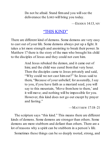Do not be afraid. Stand firmand you willsee the deliverance the LORD will bring you today.

—EXODUS 14:13, NIV

### "THIS [KIND"](#page-6-4)

There are different kind of demons. Some demons are very easy to cast out of your life. Some demons always put up a fight. It takes a lot more strength and anointing to break their power. In Matthew 17 there is the story of the man who brought his child to the disciples of Jesus and they could not cure him.

> And Jesus rebuked the demon, and it came out of him; and the child was cured fromthat very hour. Then the disciples came to Jesus privately and said, "Why could we not cast himout?" So Jesus said to them, "Because of your unbelief; for assuredly, I say to you, if you have faith as a mustard seed, you will say to this mountain, 'Move fromhere to there,' and it will move; and nothing will be impossible for you. However, this kind does not go out except by prayer and fasting."

> > —MATTHEW 17:18–21

The scripture says "this kind." This means there are different kinds of demons. Some demons are stronger than others. Some demons are more stubborn and defiant than others. There are a lot of reasons why a spirit can be stubborn in a person's life.

Sometimes these things can be so deeply rooted, strong, and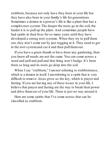stubborn, because not only have they been in your life but they have also been in your family's life for generations. Sometimes a demon in a person's life is like a plant that has a complexroot system. The deeper the roots go in the soil, the harder it is to pull up the plant. And sometimes people have had spirits in their lives for so many years until they have developed a strong root systems. When they try to pull them out, they don't come out by just tugging at it. They need to get in the root systemand cut it and then pull themout.

If you have a green thumb or have done any gardening, then you know all weeds are not the same. You can come across a weed and pull and pull and that thing won't budge. It's been there so long and its roots go deep into the soil.

When I say "stubborn," I amnot referring to stubbornness, which is a demon in itself. I am referring to a spirit that is very difficult to remove. Jesus gives us the key, which is prayer and fasting. If you are having any of these issues in your life, I believe that prayer and fasting are the way to break their power and drive themout of your life. There is just no way around it.

Here are some spirits that I've come across that can be classified as stubborn.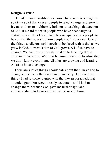#### **Religious spirit**

One of the most stubborn demons I have seen is a religious spirit—a spirit that causes people to reject change and growth. It causes themto stubbornly hold on to teachings that are not of God. It's hard to teach people who have been taught a certain way all their lives. The religious spirit causes people to be some of the most stubborn people you'll ever meet. One of the things a religious spirit needs to be faced with is that as we grow in God, our revelation of God grows. All of us have to change. We cannot stubbornly hold on to teaching that is contrary to Scripture. We must be humble enough to admit that we don't know everything. All of us are growing and learning. All of us have to change.

There are a lot of things I could talk about that I have had to change in my life in the last years of ministry. And there are things I had to come to grips with that I even preached, that sounded good but weren't really accurate—and I had to change them, because God gave me further light and understanding. Religious spirits can be so stubborn.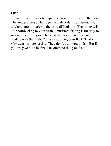#### **Lust**

Lust is a strong-rooted spirit because it is rooted in the flesh. The longer a person has been in a lifestyle—homosexuality, adultery, masturbation—the more difficult it is. That thing will stubbornly cling to your flesh. Sometimes fasting is the way to weaken the root systembecause when you fast, you are dealing with the flesh. You are subduing your flesh. That's why demons hate fasting. They don't want you to fast. But if you truly want to be free, I recommend that you fast.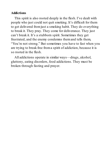#### **Addictions**

This spirit is also rooted deeply in the flesh. I've dealt with people who just could not quit smoking. It's difficult for them to get delivered fromjust a smoking habit. They do everything to break it. They pray. They come for deliverance. They just can't break it. It's a stubborn spirit. Sometimes they get frustrated, and the enemy condemns themand tells them, "You're not strong." But sometimes you have to fast when you are trying to break free froma spirit of addiction, because it is so rooted in the flesh.

All addictions operate in similar ways—drugs, alcohol, gluttony, eating disorders, food addictions. They must be broken through fasting and prayer.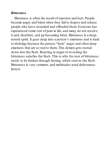#### **Bitterness**

Bitterness is often the result of rejection and hurt. People become angry and bitter when they fail to forgive and release people who have wounded and offended them. Everyone has experienced some sort of pain in life, and many do not resolve it and, therefore, end up becoming bitter. Bitterness is a deeprooted spirit. It goes deep into a person's emotions and is hard to dislodge because the person "feels" angry and other deep emotions that are so real to them. This demon gets rooted down into the flesh. Reacting in anger or revisiting the bitterness satisfies the flesh. This is why the root of bitterness needs to be broken through fasting, which starves the flesh. Bitterness is very common, and multitudes need deliverance fromit.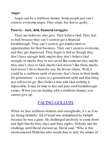#### **Anger**

Anger can be a stubborn demon. Some people just can't seemto overcome anger. They erupt, but feelso guilty.

#### **Poverty—lack, debt, financial struggles**

There are believers who give. They believe God. They feel so bad because they can't seemto get a financial breakthrough. They can't seemto get employment or opportunities for their business. They can't seemto overcome, and they get depressed. They begin to feel as though they don't have enough faith, maybe they don't believe God enough, or maybe they're not saved like someone else, maybe they aren't close to God, maybe God doesn't like them, maybe God doesn't favor themthe way He favors others. Well, it could be a stubborn spirit of poverty that's been in their family for generations—a curse or a generationalspirit and that thing just will not let go. But I believe that with God nothing is impossible. It may be time to fast and pray until breakthrough comes. When you are dealing with a stubborn demon, you cannot give up.

## FACING [GOLIATH](#page-6-5)

When we face stubborn demons and strongholds, it's as if we are facing Goliaths. All of Israel was intimidated by Goliath because he was a giant. He challenged anybody to come down and fight himfor forty days and forty nights. Nobody met the challenge until David showed up. David said, "Who is this uncircumcised Philistine who would dare to defy the armies of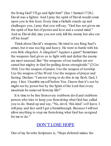the living God? I'll go and fight him!" (See 1 Samuel 17:26.) David was a fighter. And I pray the spirit of David would come upon you in this hour. Every time a Goliath stands up and challenges you, I pray that you willsay, "God has not given me the spirit of fear but of power and love and a sound mind." And as David did, may you not only kill the enemy but also cut off his head!

Think about David's weapons. He tried to use King Saul's armor, but it was too big and heavy. He went to battle with his own little slingshot. A slingshot? Against a giant? Sometimes the weapons God gives us to fight with and defeat the enemy are most unusual. But "the weapons of our warfare are not carnal but mighty in God for pulling down strongholds" (2 Cor. 10:4). Use the weapon of praise. Use the weapon of worship. Use the weapon of the Word. Use the weapon of prayer and fasting. Declare: "I amnot trying to do this in my flesh. God, I pray. I fast. I humble myself before You. I know that it's not by might nor by power but by the Spirit of the Lord that every mountain be removed frommy life!"

It is time to be free fromevery stubborn devil and stubborn person who tries to keep you fromdoing what God has called you to do. Stand up and say, "No, devil, 'this kind' *will* leave. I will pray and fast until I get a breakthrough. Because I will not allow anything to stop me fromdoing what God has assigned for me to do."

### [DON'T](#page-6-0) LOSE HOPE

One of my favorite Scriptures is, "Hope deferred makes the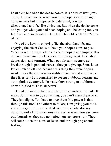heart sick, but when the desire comes, it is a tree of life" (Prov. 13:12). In other words, when you have hope for something to come to pass but it keeps getting deferred, you get discouraged and feel like giving up. But when the desire comes and you get what you had been hoping and believing for, you feel alive and invigorated—fulfilled. The Bible calls this "a tree of life."

One of the keys to enjoying life, the abundant life, and enjoying the life in God is to have your hopes come to pass. When you are always left in a place of hoping and hoping, this deferral turns into hopelessness, discouragement, frustration, depression, and torment. When people can't seemto get breakthrough in particular areas, they just give up. Some have left church or left God because this thing they were hoping would break through was so stubborn and would not move in their lives. But I amcommitted to seeing stubborn demons and strongholds destroyed. No matter how strong or stubborn a demon is, God still has all power!

One of the most defiant and stubborn animals is the mule. If mules don't want to do something, you can't make themdo it. They just dig in. You have to drag them. My prayer is that through this book and others to follow, I amgiving you tools and strategies fromGod to deal with mule spirits, donkey demons, and all those demons that say no when you say come out (sometimes they say no before you say come out). They will come out in the name of Jesus and through prayer and fasting.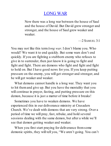# [LONG](#page-6-1) WAR

Now there was a long war between the house of Saul and the house of David. But David grew stronger and stronger, and the house of Saul grew weaker and weaker.

—2 SAMUEL 3:1

You may not like this term*long war*. I don't blame you. Who would? We want it to end quickly. But some wars don't end quickly. If you are fighting a stubborn enemy who refuses to give in to surrender, then just know it is going to fight and fight and fight. There are demons who fight and fight and fight to hold on. But I have good news for you. If you keep putting pressure on the enemy, you will get stronger and stronger, and he will get weaker and weaker.

What demons cannot handle is a long war. They want you to hit themand give up. But you have the mentality that you will continue in prayer, fasting, and putting pressure on this demon, because it is just a matter of time before it breaks!

Sometimes you have to weaken demons. We have experienced this in our deliverance ministry at Crusaders Church. We've dealt with demons that are very strong. Over a period of time we will pray, fast, rebuke, and hold several sessions dealing with the same demon, but after a while we'll see that demon getting weaker and weaker.

When you first start praying for deliverance fromsome demonic spirits, they will tell you, "We aren't going. You can't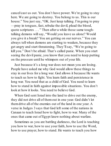cancel/cast us out. You don't have power. We're going to stay here. We are going to destroy. You belong to us. This is our house." You just say, "OK. Just keep talking. I'mgoing to pray —pray in tongues, fast, rebuke the devil, plead the blood, quote scriptures . . . " Then after a while those same toughtalking demons willsay, "Would you leave us alone? Would you give it a break? You are getting on our nerves." You can always tell when demons are starting to weaken, because they get angry and start threatening. They'llsay, "We're going to kill you." Don't be afraid. That's called panic. When you start seeing the devil panic, you know that you need to keep putting on the pressure until he whimpers out of your life.

Just because it's a long war does not mean you are losing. People have asked me why God would allow these things to stay in our lives for a long war. God allows it because He wants to teach us how to fight. You learn faith and persistence in long war. You need that as a child of God. You need to learn how to stand in faith against impossible situations. You don't look at how it looks. You need to believe God.

When God sent Israel into the land to drive out the enemy, they did not drive all of themout in one year. God didn't let themdrive all of the enemies out of the land in one year. A verse in Judges 3 says that God left some of the nations in Canaan to teach Israel how to fight, how to war. Many of the ones that came out of Egypt knew nothing about warfare.

Sometimes as you are battling darkness, the Lord is teaching you how to war, how to use your faith, how to use the Word, how to use prayer, how to stand. He wants to teach you how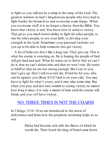to fight so you will not be a wimp in the army of the Lord. The greatest warriors in God's kingdomare people who have had to fight battles for themselves and overcome some things. When you overcome stuff, it is no longer a theory fromthe Bible. You know that victory is real. You know how to achieve victory. That gives you much better ability to fight for other people, to war for other people, to use your faith, to develop your strength in the Lord. Sometimes your personal victories set you up to be able to help someone else get victory.

A lot of believers don't like a long war. They give up. This is what the enemy is counting on. He is hoping the people of God will get tired and quit. What he wants us to feel is that we can't do it, that we can't defeat him, and that we won't win. He wants to bluff us that we are not strong enough. But I say to you, don't give up. Don't roll over and die. If God be for you, who can be against you (Rom. 8:31)? God is on your side. You may have to fight for what's yours, and it may take some time. But when you pray and fast and commit to seeing victory no matter how long it takes, it is only a matter of time until the enemy will break, and you *will* have victory.

# NO, THREE TIMES IS NOT THE [CHARM](#page-6-2)

In 2 Kings 13:14–19 we are introduced to the arrow of deliverance and learn how the prophetic anointing helps us to war.

> Elisha had become sick with the illness of which he would die. Then Joash the king of Israel came down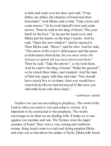to him, and wept over his face, and said, "O my father, my father, the chariots of Israel and their horsemen!" And Elisha said to him, "Take a bow and some arrows." So he took himself a bow and some arrows. Then he said to the king of Israel, "Put your hand on the bow." So he put his hand on it, and Elisha put his hands on the king's hands. And he said, "Open the east window"; and he opened it. Then Elisha said, "Shoot"; and he shot. And he said, "The arrow of the LORD's deliverance and the arrow of deliverance fromSyria; for *you must strike the Syrians at Aphek till you have destroyed them*." Then he said, "Take the arrows"; so he took them. And he said to the king of Israel, "Strike the ground"; so he struck three times, and stopped. And the man of God was angry with him, and said, "You should have struck five or sixtimes; then you would have struck Syria till you had destroyed it! But now you will strike Syria only three times."

#### —EMPHASIS ADDED

I believe we can war according to prophecy. The word of the Lord is what you need to win and achieve victory. It is important to be connected to the prophetic. The words encourage us in what we are dealing with. It helps us to war against our enemies and win. The Syrians were the major enemies of Israel. They were a very strong and stubborn enemy. King Joash come to a sick and dying prophet Elisha and cries out to himabout the armies of Syria. Elisha tells Joash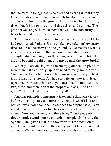that he must strike against Syria over and over again until they have been destroyed. Then Elisha tells himto take a bow and arrows and strike it on the ground. He didn't tell himhow many times. Joash hit it on the ground three times and stopped. The prophet was angry, because now that would be how many times he would defeat the Syrians.

Three times was not enough to destroy the Syrians as Elisha had prophesied. Perhaps Elisha could have told himhow many times to strike the arrows on the ground. But sometimes what is in a person comes out in their actions. Joash didn't have enough hatred and anger for the enemy to strike and strike the ground beyond the third time and maybe until the arrow broke!

When you are dealing with the enemy, you need to give him more than just a courtesy tap. You need to really want to win. You have to hate what you are fighting so much that you beat it until the arrows break. You have to hate lust, poverty, fear, rejection, or whatever it is until you smash it. It's not just one, two, three, and then look at the prophet and ask, "Did I do good?" No! Strike it until it is destroyed!

Another principle: sometimes it takes more than one victory before you completely consume the enemy. It wasn't just one battle; it was more than one. In essence the prophet said, "You should have stuck four or five times to completely consume the enemy. Now you will only win three times." And evidently three victories would not be enough to completely destroy the Syrians. The Syrians lost, but they were still in a position to rebuild. We want to destroy the enemy so that he can't rebuild anymore. We want to mess up his strongholds so much that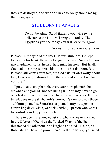they are destroyed, and we don't have to worry about seeing that thing again.

# STUBBORN [PHARAOHS](#page-6-3)

Do not be afraid. Stand firmand you willsee the deliverance the LORD will bring you today. The Egyptians you see today you will *never see again*.

—EXODUS 14:13, NIV, EMPHASIS ADDED

Pharaoh is the type of the devil. He was stubborn. He kept hardening his heart. He kept changing his mind. No matter how much judgment came, he kept hardening his heart. But finally God had one thing to break him—he took his firstborn. But Pharaoh still came after them, but God said, "Don't worry about him; I am going to drown him in the sea, and you will see him no more!"

I pray that every pharaoh, every stubborn pharaoh, be drowned and you will not see himagain! You may have to go on a fast not one time; you may have to fast ten times. It took ten plagues to break Pharaoh's power. It's time to break those stubborn pharaohs. Sometimes a pharaoh may be a person controlling devil, witch, warlock, Jezebel, a person who wants to control your life, your church.

I hate to use this example, but it is what comes to my mind. In the *Wizard of Oz*, when the Wicked Witch of the East threatened the other one, she laughed and said, "Ha, ha, ha! Rubbish. You have no power here!" In the same way you need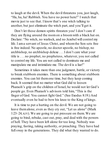to laugh at the devil. When the devil threatens you, just laugh, "Ha, ha, ha! Rubbish. You have no power here!" I watch that movie just to see that. I know that's one witch talking to another, but just eliminate the witch part, and you'll get it.

Don't let those demon spirits threaten you! I don't care if they are flying around the roomon a broomwith a black hat on. Declare: "No witch, no warlock, and no Jezebel will control my life. I ama servant of Jesus Christ, and whomthe Son sets free is free indeed. No apostle, no doctor apostle, no bishop, no archbishop, no archbishop deluxe . . . I don't care what your title is . . . no prophet, no prophetess, whatever, you not called to control my life. You are not called to dominate me and manipulate me and intimidate me. The devil is a liar!"

Sometimes it takes more than one judgment, battle, or victory to break stubborn enemies. There is something about stubborn enemies. You can hit themone time, but they keep coming back. It seemed that no matter what God did to loosen Pharaoh's grip on the children of Israel, he would not let God's people go. Even Pharaoh's advisors told him, "This is the finger of God. You cannot fight God." (See Exodus 8:19.) And eventually even he had to bow his knee to the King of kings.

It is time to put a hurting on the devil. We are not going to leave themalone, even as they cry out, "Let us alone" (Mark 1:23–24, KJV). We are going to put pressure on them. We are going to bind, rebuke, cast out, pray, and deal with the powers of hell. They have been left alone for too long. Nobody was praying, fasting, taking authority, or preaching. They have had full sway in the generations. They did what they wanted to do.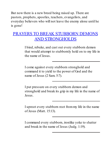But now there is a new breed being raised up. There are pastors, prophets, apostles, teachers, evangelists, and everyday believers who will not leave the enemy alone until he is gone!

# PRAYERS TO BREAK STUBBORN DEMONS AND [STRONGHOLDS](#page-6-4)

I bind, rebuke, and cast out every stubborn demon that would attempt to stubbornly hold on to my life in the name of Jesus.

I come against every stubborn stronghold and command it to yield to the power of God and the name of Jesus (2 Sam. 5:7).

I put pressure on every stubborn demon and stronghold and break its grip in my life in the name of Jesus.

I uproot every stubborn root frommy life in the name of Jesus (Matt. 15:13).

I command every stubborn, ironlike yoke to shatter and break in the name of Jesus (Judg. 1:19).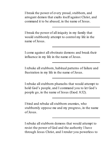I break the power of every proud, stubborn, and arrogant demon that exalts itself against Christ, and command it to be abased, in the name of Jesus.

I break the power of all iniquity in my family that would stubbornly attempt to control my life in the name of Jesus.

I come against all obstinate demons and break their influence in my life in the name of Jesus.

I rebuke allstubborn, habitual patterns of failure and frustration in my life in the name of Jesus.

I rebuke allstubborn pharaohs that would attempt to hold God's people, and I command you to let God's people go, in the name of Jesus (Exod. 8:32).

I bind and rebuke allstubborn enemies, who stubbornly oppose me and my progress, in the name of Jesus.

I rebuke allstubborn demons that would attempt to resist the power of God and the authority I have through Jesus Christ, and I render you powerless to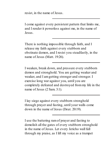resist, in the name of Jesus.

I come against every persistent pattern that limits me, and I render it powerless against me, in the name of Jesus.

There is nothing impossible through faith, and I release my faith against every stubborn and obstinate demon, and I resist you steadfastly, in the name of Jesus (Matt. 19:26).

I weaken, break down, and pressure every stubborn demon and stronghold. You are getting weaker and weaker, and I amgetting stronger and stronger. I exercise long war against you, until you are completely defeated and destroyed frommy life in the name of Jesus (2 Sam. 3:1).

I lay siege against every stubborn stronghold through prayer and fasting, until your walls come down in the name of Jesus (Deut. 20:19).

I use the battering ramof prayer and fasting to demolish all the gates of every stubborn stronghold in the name of Jesus. Let every Jericho wall fall through my praise, as I lift my voice as a trumpet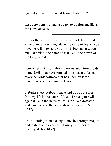against you in the name of Jesus (Josh. 6:1, 20).

Let every demonic stump be removed frommy life in the name of Jesus.

I break the will of every stubborn spirit that would attempt to remain in my life in the name of Jesus. You have no will to remain, your will is broken, and you must submit to the name of Jesus and the power of the Holy Ghost.

I come against allstubborn demons and strongholds in my family that have refused to leave, and I assault every demonic fortress that has been built for generations, in the name of Jesus.

I rebuke every stubborn mule and bull of Bashan frommy life in the name of Jesus. I break your will against me in the name of Jesus. You are defeated and must bow to the name above all names (Ps. 22:12).

The anointing is increasing in my life through prayer and fasting, and every stubborn yoke is being destroyed (Isa. 10:27).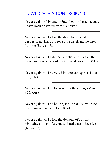# NEVER AGAIN [CONFESSIONS](#page-6-5)

Never again will Pharaoh (Satan) control me, because I have been delivered fromhis power.

Never again will I allow the devil to do what he desires in my life, but I resist the devil, and he flees fromme (James 4:7).

Never again will I listen to or believe the lies of the devil, for he is a liar and the father of lies (John 8:44).

Never again will I be vexed by unclean spirits (Luke 6:18, KJV).

Never again will I be harassed by the enemy (Matt. 9:36, AMP).

Never again will I be bound, for Christ has made me free. I amfree indeed (John 8:36).

Never again will I allow the demons of doublemindedness to confuse me and make me indecisive (James 1:8).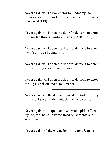Never again will I allow curses to hinder my life. I break every curse, for I have been redeemed fromthe curse (Gal. 3:13).

Never again will I open the door for demons to come into my life through unforgiveness (Matt. 18:35).

Never again will I open the door for demons to enter my life through habitualsin.

Never again will I open the door for demons to enter my life through occult involvement.

Never again will I open the door for demons to enter through rebellion and disobedience.

Never again will the demon of mind control affect my thinking. I sever all the tentacles of mind control.

Never again willserpent and scorpion spirits affect my life, for I have power to tread on serpents and scorpions.

Never again will the enemy be my master; Jesus is my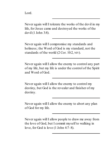Lord.

Never again will I tolerate the works of the devil in my life, for Jesus came and destroyed the works of the devil (1 John 3:8).

Never again will I compromise my standards and holiness; the Word of God is my standard, not the standards of the world (2 Cor. 10:2, NIV).

Never again will I allow the enemy to control any part of my life, but my life is under the control of the Spirit and Word of God.

Never again will I allow the enemy to control my destiny, but God is the revealer and finisher of my destiny.

Never again will I allow the enemy to abort any plan of God for my life.

Never again will I allow people to draw me away from the love of God, but I commit myself to walking in love, for God is love (1 John 4:7–8).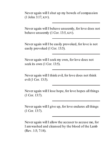Never again will I shut up my bowels of compassion (1 John 3:17, KJV).

Never again will I behave unseemly, for love does not behave unseemly (1 Cor. 13:5, KJV).

Never again will I be easily provoked, for love is not easily provoked (1 Cor. 13:5).

Never again will I seek my own, for love does not seek its own (1 Cor. 13:5).

Never again will I think evil, for love does not think evil (1 Cor. 13:5).

Never again will I lose hope, for love hopes all things (1 Cor. 13:7).

Never again will I give up, for love endures all things (1 Cor. 13:7).

Never again will I allow the accuser to accuse me, for I amwashed and cleansed by the blood of the Lamb (Rev. 1:5; 7:14).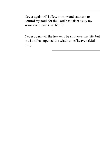Never again will I allow sorrow and sadness to control my soul, for the Lord has taken away my sorrow and pain (Isa. 65:19).

Never again will the heavens be shut over my life, but the Lord has opened the windows of heaven (Mal. 3:10).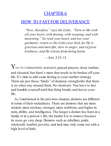### [CHAPTER](#page-6-6) 6

### HOW TO FAST FOR [DELIVERANCE](#page-6-6)

*"Now, therefore," says the LORD , "Turn to Me with all your heart, with fasting, with weeping, and with mourning." So rend your heart, and not your garments; return to the LORD your God, for He is gracious and merciful, slow to anger, and of great kindness; and He relents from doing harm.*

—JOEL 2:12–13

 $Y_{\text{outive}}$  commanded, rebuked, prayed prayers, done warfare, and shouted, but there's more that needs to be broken off your life. It's time to add some fasting to your warfare strategy. There are just those "kinds" of demonic strongholds that there is no other way around them. No shortcuts. You have to fast and humble yourself until that thing breaks and leaves your life.

As I mentioned in the previous chapter, demons are different in terms of their wickedness. There are demons that are more wicked, more unclean, stronger, more stubborn, and higher in rank, ability, and intelligence. The longer a demon has been in a family or in a person's life, the harder it is to remove because its roots go very deep. Demons such as rebellion, pride, witchcraft, Jezebel, poverty, and lack may only come out with a high level of faith.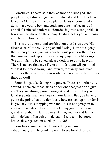Sometimes it seems as if they cannot be dislodged, and people will get discouraged and frustrated and feel they have failed. In Matthew 17 the disciples of Jesus encountered a demon in a young boy and could not cure himbecause of unbelief. Unbelief hinders us fromdealing with strongholds. It takes faith to dislodge the enemy. Fasting helps you overcome unbelief and build strong faith.

This is the supernatural combination that Jesus gave His disciples in Matthew 17: prayer and fasting. I amnot saying that when you fast you will earn brownie points with God or that you are working your way to enjoying God's blessings. We don't fast to be saved, please God, or to go to heaven. There is no law that says if you don't fast you will go to hell. We fast for breakthrough and revival, for family and loved ones. For the weapons of our warfare are not carnal but mighty through God!

Some things take fasting *and* prayer. There is no other way around. There are those kinds of demons that just don't give up. They are strong, proud, arrogant, and defiant. They are familiar spirits that have been in your family. But you have to get to the point that you don't care how messed up your family is; you say, "It is stopping with me. This is not going on to another generation. This is it, devil. If my grandmother or grandfather didn't stand against it, if my mother and father didn't defeat it, I'mgoing to defeat it. I refuse to be poor, broke, sick, rejected, messed up. . . . No!"

Sometimes you have to do something unusual, extraordinary, and beyond the normto see breakthrough.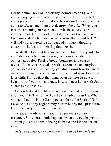Normal church, normal Christianity, normal preaching, and normal praying are not going to get the job done. Some little sweet prayer is not going to do. Religion won't get it done. It is going to take an anointing that destroys the yoke. When you fast, the anointing increases in your life because you are so into the Spirit. The authority of God, power of God, and faith of God comes alive when you lay aside some things and fast. You will find yourself getting stronger and stronger. Shouting doesn't do it. It is the anointing that does it.

Isaiah 58 talks about how we can fast to break every yoke to undo the heavy burdens. Fasting makes roomso that the oppressed go free. Fasting breaks bondages and causes revival. When you are dealing with a serious issue—maybe you are dealing with something you don't know how to handle —the best thing to do sometimes is to let go of some food for a little while. Pray against that thing. Man may not be able to help you, and you may not know how to defeat it, but with God all things are possible.

As you fast and humble yourself, the grace of God will come upon your life. The Lord will be the strength of your life. What you could not do in the flesh, you can do by the Spirit of God. Because it's not by might nor by power, but by the Spirit of the Lord that every mountain is removed!

Listen, extraordinary situations require extraordinary measures. Sometimes it only happens when you get desperate —when you are so tired of being defeated and hindered in an area.

Let's see some victories we haven't seen before. Let's get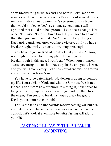some breakthroughs we haven't had before. Let's see some miracles we haven't seen before. Let's drive out some demons we haven't driven out before. Let's see some curses broken that would not leave. Let's see some generational stuff uprooted that could not be uprooted. Let's see a change! Not once. Not twice. Not even three times. If you have to go more than that, go more than that. Don't give up. Keep doing it. Keep going until you know you have victory, until you have breakthrough, until you sense something breaking!

You have to get so tired of the devil that you say, "Enough is enough. If I have to turn my plate down to get a breakthrough in this area, I won't eat." When your stomach starts screaming out, tell it to back up. In the end you will win, and you will have victory! Let our spiritual enemies be smitten and consumed in Jesus's name!

You have to be determined: "No demon is going to control my life. I ama child of God, and who the Son sets free is free indeed. I don't care how stubborn this thing is, how it tries to hang on. I am going to break every finger and the thumbs of the enemy. I'mgoing to break his wrists, break his grip. . . . Devil, you cannot have my life!"

This is the faith and unshakable resolve fasting will build in your life to see deliverance in every area the enemy has tried to control. Let's look at even more benefits fasting will add to your life.

# FASTING RELEASES THE BREAKER [ANOINTING](#page-6-7)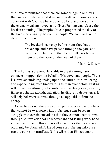We have established that there are some things in our lives that just can't stay around if we are to walk victoriously and in covenant with God. We have gone too long and too soft with the enemy wreaking havoc in our lives. Fasting can release the breaker anointing. The prophet Micah prophesied the day of the breaker coming up before his people. We are living in the days of the breaker.

> The breaker is come up before them: they have broken up, and have passed through the gate, and are gone out by it: and their king shall pass before them, and the LORD on the head of them.

> > —MICAH 2:13, KJV

The Lord is a breaker. He is able to break through any obstacle or opposition on behalf of His covenant people. There is a breaker anointing arising upon the church. We are seeing and experiencing more breakthroughs than ever before. Fasting will cause breakthroughs to continue in families, cities, nations, finances, church growth, salvation, healing, and deliverance. It will help believers to break through all opposition fromthe enemy.

As we have said, there are some spirits operating in our lives that cannot be overcome without fasting. Some believers struggle with certain limitations that they cannot seemto break through. A revelation for how covenant and fasting work hand in hand will change this and result in victories that would not ordinarily be obtained. A life of consistent fasting will cause many victories to manifest. God's will is that His covenant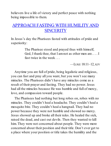believers live a life of victory and perfect peace with nothing being impossible to them.

# [APPROACH](#page-6-8) FASTING WITH HUMILITY AND **SINCERITY**

In Jesus's day the Pharisees fasted with attitudes of pride and superiority:

> The Pharisee stood and prayed thus with himself, God, I thank thee, that I amnot as other men are. . . . I fast twice in the week . . .

> > —LUKE 18:11–12, KJV

Anytime you are full of pride, being legalistic and religious, you can fast and pray all you want, but you won't see many miracles. The Pharisees didn't have any miracles come as a result of their prayer and fasting. They had no power. Jesus had all the miracles because He was humble and full of mercy, love, and compassion toward people.

The Pharisees had nothing but long robes on, robes with no miracles. They couldn't heal a headache. They couldn't heal a mosquito bite. They couldn't heal a hangnail. They had no power because they were not humble and showed no mercy. Jesus showed up and broke all their rules. He healed the sick, raised the dead, and cast out devils. Then they wanted to kill him. They were not concerned about people. They were more concerned about their position and their title. Don't ever get to a place where your position or title takes the humility and the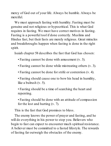mercy of God out of your life. Always be humble. Always be merciful.

We must approach fasting with humility. Fasting must be genuine and not religious or hypocritical. This is what God requires in fasting. We must have correct motives in fasting. Fasting is a powerful tool if done correctly. Muslims and Hindus fast, but their fasts are merely religious. Great miracles and breakthroughs happen when fasting is done in the right spirit.

Isaiah chapter 58 describes the fast that God has chosen:

- Fasting cannot be done with amusement (v. 3).
- Fasting cannot be done while mistreating others (v. 3).
- Fasting cannot be done for strife or contention (v. 4).
- Fasting should cause one to bow his head in humility, like a bulrush (v. 5).
- Fasting should be a time of searching the heart and repenting.
- Fasting should be done with an attitude of compassion for the lost and hurting (v. 7).

This is the fast that God promises to bless.

The enemy knows the power of prayer and fasting, and he will do everything in his power to stop you. Believers who begin to fast can expect to encounter much spiritual resistance. A believer must be committed to a fasted lifestyle. The rewards of fasting far outweigh the obstacles of the enemy.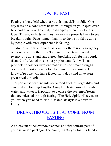# [HOW](#page-6-9) TO FAST

Fasting is beneficial whether you fast partially or fully. Oneday fasts on a consistent basis will strengthen your spirit over time and give you the ability to disciple yourself for longer fasts. Three-day fasts with just water are a powerful way to see breakthroughs. Fasts longer than three days should be done by people with more experience in fasting.

I do not recommend long fasts unless there is an emergency or if one is led by the Holy Spirit to do so. Daniel fasted twenty-one days and saw a great breakthrough for his people (Dan. 9–10). Daniel was also a prophet, and God will use prophets to fast for different reasons to see breakthroughs. Jesus fasted forty days before beginning His ministry. I do know of people who have fasted forty days and have seen great breakthroughs.

A partial fast can include some food such as vegetables and can be done for long lengths. Complete fasts consist of only water, and water is important to cleanse the systemof toxins that are released through fasting. The Holy Spirit will reveal to you when you need to fast. A fasted lifestyle is a powerful lifestyle.

### [BREAKTHROUGHS](#page-6-10) THATCOME FROM FASTING

As a covenant believer deliverance and freedomare part of your salvation package. The enemy fights you for this freedom.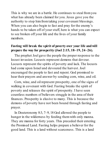This is why we are in a battle. He continues to steal fromyou what has already been claimed for you. Jesus gave you the authority to stop himfromtaking your covenant blessings. When you can also begin to fast and pray for the enemy's hands to be taken off of your stuff, here is what you can expect to see broken off your life and the lives of your family members.

#### **Fasting will break the spirit of poverty over your life andwill prepare the way for prosperity (Joel 2:15, 18–19, 24–26).**

The prophet Joel gave the people the proper response to the locust invasion. Locusts represent demons that devour. Locusts represent the spirits of poverty and lack. The locusts had come upon Israel and devoured the harvest. Joel encouraged the people to fast and repent. God promised to hear their prayers and answer by sending corn, wine, and oil.

Corn, wine, and oil represent prosperity, one of the signs of walking in covenant with God. Fasting breaks the spirit of poverty and releases the spirit of prosperity. I have seen countless numbers of believers struggle in the area of their finances. Prosperity is elusive to many. This is because the demons of poverty have not been bound through fasting and prayer.

In Deuteronomy 8:3, 7–9, 18 God allowed the people to hunger in the wilderness by feeding themwith only manna. They ate manna for forty years. This preceded their entering the Promised Land. Fasting helps prepare a believer for the good land. This is a land without scarceness. This is a land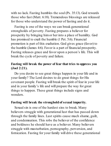with no lack. Fasting humbles the soul (Ps. 35:13). God rewards those who fast (Matt. 6:18). Tremendous blessings are released for those who understand the power of fasting and do it.

Fasting is one of the ways we can break generational strongholds of poverty. Fasting prepares a believer for prosperity by bringing himor her into a place of humility. God has promised to exalt the humble (1 Pet. 5:6). Financial promotion is part of this exaltation. God gives grace (favor) to the humble (James 4:6). Favor is a part of financial prosperity. Fasting releases grace and favor upon a person's life. This will break the cycle of poverty and failure.

### **Fasting will break the power of fear that tries to oppress you (Joel 2:21).**

Do you desire to see great things happen in your life and in your family? The Lord desires to do great things for His covenant people. Fasting will break the spirit of fear in your life and in your family's life and will prepare the way for great things to happen. These great things include signs and wonders.

#### **Fasting will break the strongholdof sexual impurity.**

Sexualsin is one of the hardest sins to break. Many believers struggle with generational lust that has passed down through the family lines. Lust spirits cause much shame, guilt, and condemnation. This robs the believer of the confidence and boldness he should have as a believer. Many believers struggle with masturbation, pornography, perversion, and fornication. Fasting for your family will drive these generational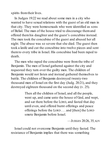spirits fromtheir lives.

In Judges 19:22 we read about some men in a city who wanted to have sexual relations with the guest of an old man in that city. They were homosexuals who were identified as sons of Belial. The man of the house tried to discourage themand offered themhis daughter and the guest's concubine instead. The men took the concubine of the guest and abused her all night. The abuse was so severe that she died. The guest then took a knife and cut the concubine into twelve pieces and sent themto every tribe in Israel. His concubine had been raped to death.

The men who raped the concubine were fromthe tribe of Benjamin. The men of Israel gathered against the city and requested they turn over the guilty men. The children of Benjamin would not listen and instead gathered themselves to battle. The children of Benjamin destroyed twenty-two thousand men of Israel on the first day (Judg. 20:21), and they destroyed eighteen thousand on the second day (v. 25).

> Then all the children of Israel, and all the people, went up, and came unto the house of God, and wept, and sat there before the LORD, and fasted that day until even, and offered burnt offerings and peace offerings before the LORD . . . and [then] the LORD smote Benjamin before Israel.

> > —JUDGES 20:26, 35, KJV

Israel could not overcome Benjamin until they fasted. The resistance of Benjamin implies that there was something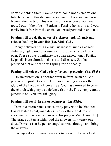demonic behind them. Twelve tribes could not overcome one tribe because of this demonic resistance. This resistance was broken after fasting. This was the only way perversion was rooted out of the tribe of Benjamin. Fasting helps you and your family break free fromthe chains of sexual perversion and lust.

### **Fasting will break the power of sickness andinfirmity and release healing in your life (Isa. 58:5–6, 8).**

Many believers struggle with sicknesses such as cancer, diabetes, high blood pressure, sinus problems, and chronic pain. These spirits of infirmity are often generational. Fasting helps eliminate chronic sickness and diseases. God has promised that our health willspring forth speedily.

#### **Fasting will release God's glory for your protection (Isa. 58:8)**

Divine protection is another promise from Isaiah 58. God promises to protect us with His glory. Fasting releases the glory of the Lord, which covers us. God has promised to cover the church with glory as a defense (Isa. 4:5). The enemy cannot penetrate or overcome this glory.

#### **Fasting will result in answeredprayer (Isa. 58:9).**

Demonic interference causes many prayers to be hindered. Daniel fasted twenty-one days to break through demonic resistance and receive answers to his prayers. (See Daniel 10.) The prince of Persia withstood the answers for twenty-one days. Daniel's fast helped an angel to break through and bring the answers.

Fasting will cause many answers to prayer to be accelerated.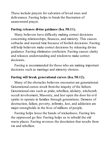These include prayers for salvation of loved ones and deliverance. Fasting helps to break the frustration of unanswered prayer.

#### **Fasting releases divine guidance (Isa. 58:11).**

Many believers have difficulty making correct decisions concerning relationships, finances, and ministry. This causes setbacks and wasted time because of foolish decisions. Fasting will help believers make correct decisions by releasing divine guidance. Fasting eliminates confusion. Fasting causes clarity and releases understanding and wisdomto make correct decisions.

Fasting is recommended for those who are making important decisions such as marriage and ministry choices.

#### **Fasting will break generational curses (Isa. 58:12).**

Many of the obstacles believers encounter are generational. Generational curses result fromthe iniquity of the fathers. Generational sins such as pride, rebellion, idolatry, witchcraft, occult involvement, Masonry, and lust open the door for evil spirits to operate in families through generations. Demons of destruction, failure, poverty, infirmity, lust, and addiction are major strongholds in the lives of millions of people.

Fasting helps loose the bands of wickedness. Fasting lets the oppressed go free. Fasting helps us to rebuild the old waste places. Fasting reverses the desolation that results from sin and rebellion.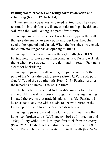#### **Fasting closes breaches andbrings forth restoration and rebuilding (Isa. 58:12; Neh. 1:4).**

There are many believers who need restoration. They need restoration in their families, finances, relationships, health, and walk with the Lord. Fasting is a part of restoration.

Fasting closes the breaches. Breaches are gaps in the wall that give the enemy an entry point into our lives. Breaches need to be repaired and closed. When the breaches are closed, the enemy no longer has as opening to attack.

Fasting also helps keep us on the right path (Isa. 58:12). Fasting helps to prevent us fromgoing astray. Fasting will help those who have strayed fromthe right path to return. Fasting is a cure for backsliding.

Fasting helps us to walk in the good path (Prov. 2:9), the path of life (v. 19), the path of peace (Prov. 3:17), the old path (Jer. 6:16), and the straight path (Heb. 12:13). Fasting restores these paths and helps us to walk in them.

In Nehemiah 1 we see that Nehemiah's journey to restore and rebuild the walls in Jerusalembegan with fasting. Fasting initiated the events that made his plans possible. Fasting will be an asset to anyone with a desire to see restoration in the lives of people who have experienced desolation.

Fasting helps restore and rebuild the walls in our lives that have been broken down. Walls are symbolic of protection and safety. A city without walls is open for attack fromthe enemy (Prov. 25:28). Fasting helps restore the walls of salvation (Isa. 60:18). Fasting helps restore watchmen to the walls (Isa. 62:6).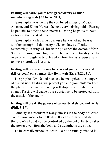### **Fasting will cause you to have great victory against overwhelming odds (2 Chron. 20:3).**

Jehoshaphat was facing the combined armies of Moab, Ammon, and Edom. He was facing overwhelming odds. Fasting helped himto defeat these enemies. Fasting helps us to have victory in the midst of defeat.

Jehoshaphat called a fast because he was afraid. Fear is another stronghold that many believers have difficulty overcoming. Fasting will break the power of the demon of fear. Spirits of terror, panic, fright, apprehension, and timidity can be overcome through fasting. Freedomfromfear is a requirement to live a victorious lifestyle.

### **Fasting will prepare the way for you andyour children and deliver you from enemies that lie in wait (Ezra 8:21, 31).**

The prophet Ezra fasted because he recognized the danger of his mission. Fasting will protect you and your children from the plans of the enemy. Fasting willstop the ambush of the enemy. Fasting will cause your substance to be protected from the attack of the enemy.

### **Fasting will break the powers of carnality, division, andstrife (Phil. 3:19).**

Carnality is a problemin many families in the body of Christ. To be carnal means to be fleshly. It means to mind earthly things. We should not be controlled by the belly. Fasting takes the power away fromthe belly and strengthens the spirit.

To be carnally minded is death. To be spiritually minded is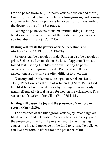life and peace (Rom. 8:6). Carnality causes division and strife (1 Cor. 3:13). Carnality hinders believers fromgrowing and coming into maturity. Carnality prevents believers fromunderstanding the deeper truths of the Scriptures.

Fasting helps believers focus on spiritual things. Fasting breaks us free fromthe power of the flesh. Fasting increases spiritual discernment (1 Cor. 2:15).

### **Fasting will break the powers of pride, rebellion, and witchcraft (Ps. 35:13; Job33:17–20).**

Sickness can be a result of pride. Pain can also be a result of pride. Sickness often results in the loss of appetite. This is a forced fast. Fasting humbles the soul. Fasting helps us overcome the strongman of pride. Pride and rebellion are generationalspirits that are often difficult to overcome.

Gluttony and drunkenness are signs of rebellion (Deut. 21:20). Rebellion is as the sin of witchcraft (1 Sam. 15:23). God humbled Israel in the wilderness by feeding themwith only manna (Deut. 8:3). Israel lusted for meat in the wilderness. This was a manifestation of rebellion (Ps. 106:14–15).

### **Fasting will cause the joy andthe presence of the Lordto return (Mark 2:20).**

The presence of the bridegroomcauses joy. Weddings are filled with joy and celebration. When a believer loses joy and the presence of the Lord, he or she needs to fast. Fasting causes the joy and presence of the Lord to return. No believer can live a victorious life without the presence of the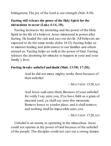bridegroom. The joy of the Lord is our strength (Neh. 8:10).

#### **Fasting will release the power of the Holy Spirit for the miraculous to occur (Luke 4:14, 18).**

Fasting increases the anointing and the power of the Holy Spirit in the life of a believer. Jesus ministered in power after fasting. He healed the sick and cast out devils. All believers are expected to do the same works (John 14:12). Fasting helps us to minister healing and deliverance to our families and others around us. Fasting helps us walk in the power of God. Fasting releases the anointing for miracles to happen in your and your family's lives.

### **Fasting breaks unbelief anddoubt (Matt. 13:58; 17:20).**

And he did not many mighty works there because of their unbelief.

—MATTHEW 13:58, KJV

And Jesus said unto them, Because of your unbelief: for verily I say unto you, If ye have faith as a grain of mustard seed, ye shall say unto this mountain, Remove hence to yonder place; and it shall remove; and nothing shall be impossible unto you.

 $-M$ ATTHEW 17:20 KIV

Unbelief is an enemy to operating in the miraculous. Jesus could not operate in the power of God because of the unbelief of the people. The disciples could not cast out a strong demon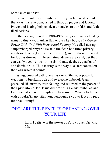because of unbelief.

It is important to drive unbelief fromyour life. And one of the ways this is accomplished is through prayer and fasting. Prayer and fasting help us clear obstacles to our faith and faithfilled actions.

In the healing revival of 1948–1957 many came into a healing ministry this way. Franklin Hall wrote a key book, *The Atomic Power With God With Prayer and Fasting*. He called fasting "supercharged prayer." He said the flesh had three primary needs or desires (food, sex, and status), and of these the need for food is dominant. These natural desires are valid, but they can easily become too strong (inordinate desires equal lusts) and dominate us. Thus fasting is the way to assert control on the flesh where it counts.

Fasting, coupled with prayer, is one of the most powerful weapons to breakthrough and overcome unbelief. Jesus preceded His ministry with fasting and returned in the power of the Spirit into Galilee. Jesus did not struggle with unbelief, and He operated in faith throughout His ministry. When challenged with unbelief in any situation, I encourage you to fast and pray for breakthrough.

# DECLARE THE [BENEFITS](#page-6-11) OF FASTING OVER YOUR LIFE

Lord, I believe in the power of Your chosen fast (Isa. 58).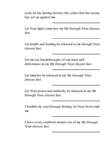Lord, let my fasting destroy the yokes that the enemy has set up against me.

Let Your light come into my life through Your chosen fast.

Let health and healing be released to me though Your chosen fast.

Let me see breakthroughs of salvation and deliverance in my life through Your chosen fast.

Let miracles be released in my life through Your chosen fast.

Let Your power and authority be released in my life through Your chosen fast.

I humble my soul through fasting; let Your favor exalt me.

I drive every stubborn demon out of my life through Your chosen fast.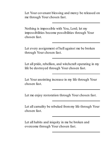Let Your covenant blessing and mercy be released on me through Your chosen fast.

Nothing is impossible with You, Lord; let my impossibilities become possibilities through Your chosen fast.

Let every assignment of hell against me be broken through Your chosen fast.

Let all pride, rebellion, and witchcraft operating in my life be destroyed through Your chosen fast.

Let Your anointing increase in my life through Your chosen fast.

Let me enjoy restoration through Your chosen fast.

Let all carnality be rebuked frommy life through Your chosen fast.

Let all habits and iniquity in me be broken and overcome through Your chosen fast.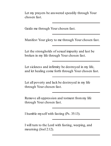Let my prayers be answered speedily through Your chosen fast.

Guide me through Your chosen fast.

Manifest Your glory to me through Your chosen fast.

Let the strongholds of sexual impurity and lust be broken in my life through Your chosen fast.

Let sickness and infirmity be destroyed in my life, and let healing come forth through Your chosen fast.

Let all poverty and lack be destroyed in my life through Your chosen fast.

Remove all oppression and torment frommy life through Your chosen fast.

I humble myself with fasting (Ps. 35:13).

I will turn to the Lord with fasting, weeping, and mourning (Joel 2:12).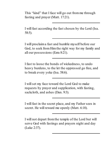This "kind" that I face will go out fromme through fasting and prayer (Matt. 17:21).

I will fast according the fast chosen by the Lord (Isa. 58:5).

I will proclaima fast and humble myself before our God, to seek fromHimthe right way for my family and all our possessions (Ezra 8:21).

I fast to loose the bonds of wickedness, to undo heavy burdens, to the let the oppressed go free, and to break every yoke (Isa. 58:6).

I willset my face toward the Lord God to make requests by prayer and supplication, with fasting, sackcloth, and ashes (Dan. 9:3).

I will fast in the secret place, and my Father sees in secret. He will reward me openly (Matt. 6:18).

I will not depart fromthe temple of the Lord but will serve God with fastings and prayers night and day (Luke 2:37).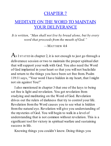#### [CHAPTER](#page-6-0) 7

### MEDITATE ON THE WORD TO MAINTAIN YOUR [DELIVERANCE](#page-6-0)

*It is written, "Man shall not live by bread alone, but by every word that proceeds from the mouth of God."*

—MATTHEW 4:4

 $\overline{A}$ s I stated in chapter 2, it is not enough to just go through a deliverance session or two to maintain the proper spiritual diet that willsupport your walk with God. You also need the Word of God implanted in your heart so that you will not backslide and return to the things you have been set free from. Psalm 119:11 says, "Your word I have hidden in my heart, that I might not sin against You!"

I also mentioned in chapter 3 that one of the keys to being set free is light and revelation. You get revelation from studying and meditating on the Word of God. Revelation drives out the rulers of darkness that try to control your life. Revelation fromthe Word causes you to see what is hidden fromthe natural eye. Revelation will give you understanding of the mysteries of God. You will begin to walk in a level of understanding that is not common without revelation. This is a significant tool for victory in spiritual warfare and sustaining success in life.

Knowing things you couldn't know. Doing things you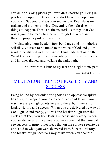couldn't do. Going places you wouldn't know to go. Being in position for opportunities you couldn't have developed on your own. Supernatural wisdomand insight. Keen decision making and problemsolving. Discerning the right time for things to happen. These are the mysterious things that God wants you to be ready to receive through His Word and through prophecy—His revealed word.

Maintaining your freedomfrombondages and strongholds will allow your ear to be tuned to the voice of God and your mind to be aligned with the mind of Christ. Meditation on the Word keeps your spirit free fromentanglements of the enemy and in tune, aligned, and walking the right path.

Your word is a lamp to my feet and a light to my path.

—PSALM 119:105

# [MEDITATION—KEY](#page-7-0) TO PROSPERITY AND **SUCCESS**

Being bound by demonic strongholds and oppressive spirits has a way of keeping you in a place of lack and failure. You may have a few high points here and there, but there is no lasting victory and success. When you are delivered by way of God's grace and mercy, you will find breakthrough fromthe cycles that keep you fromlasting success and victory. When you are delivered and set free, you may even find that you will see success in many other areas that on the surface seemto be unrelated to what you were delivered from. Success, victory, and breakthrough become a way of life when you see true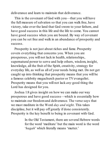deliverance and learn to maintain that deliverance.

This is the covenant of God with you—that you will have the full measure of salvation so that you can walk free, have victory, take over the land that God swore to your fathers, and have good success in this life and the life to come. You cannot have good success when you are bound. By way of covenant you can be set free and walk in an abundance of prosperity and success.

Prosperity is not just about riches and fame. Prosperity covers everything that concerns you. When you are prosperous, you will not lack in health, relationships, supernatural power to serve and help others, wisdom, insight, knowledge, all the fruit of the Spirit, creativity, strategy for everyday life, as well as all of your needs being met. Do not get caught up into thinking that prosperity means that you will be a famous celebrity megachurch pastor or TVevangelist. Prosperity means that you will not lack *any* good thing the Lord has designed for you.

Joshua 1:8 gives insight on how we can make our way prosperous and have good success—which is essentially how to maintain our freedomand deliverance. The verse says that we must meditate in the Word *day and night*. This takes discipline, but it will pay off greatly if done consistently. Prosperity is the key benefit to being in covenant with God.

> In the Old Testament, there are several Hebrew words for the word 'meditate' but the main word is the word '*hagah*' which literally means 'mutter.'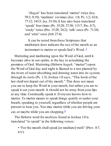'*Hagah*' has been translated 'mutter' twice (Isa. 59:3; 8:19), 'meditate' sixtimes (Jos. 1:8; Ps. 1:2; 63:6; 77:12; 143:5; Isa. 33:18). It has also been translated 'speak' four times (Ps. 35:28; 37:30; 115:7; Pro. 8:7), 'study' twice (Pro. 15:28; 24:2), 'talk' once (Ps. 71:24) and 'utter' once (Job 27:4).

<span id="page-151-0"></span>It can be noted fromthese Scriptures that meditation does indicate the use of the mouth as an instrument to mutter or speak God's Word.  $\frac{1}{2}$  $\frac{1}{2}$  $\frac{1}{2}$ 

Muttering and meditating upon the Word of God, until it becomes alive in our spirits, is the key to actualizing the promises of God. Muttering (Hebrew *hagah,* "mutter") upon the Word of God day and night is likened to a tree planted by the rivers of water absorbing and drawing water into its system through its roots (Ps. 1:3). Joshua 1:8 says, "This book of the law shall not depart out of thy mouth." This does not mean you are to keep the Word in your mouth, but rather you are to speak it out your mouth. It should not be away fromyour lips at any time. Continually speak it. Everyone knows how to mutter. To mutter means to speak things quietly or under your breath, speaking to yourself, regardless of whether people are present to hear you. You may mutter while you are driving your car, or maybe while you are shopping.<sup>[2](#page-172-1)</sup>

The Hebrew word for *meditate* found in Joshua 1:8 is translated "to speak" in the following verses:

<span id="page-151-1"></span>• "For the mouth shallspeak [or meditate] truth" (Prov. 8:7, KJV).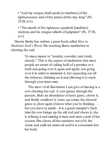• "And my tongue shall speak for meditatel of thy righteousness and of thy praise all the day long" (Ps. 35:28, KJV).

• "The mouth of the righteous speaketh [meditate] wisdom, and his tongue talketh of judgment" (Ps. 37:30, KJV).

Dennis Burke has written a great book called *How to Meditate God's Word*. His teaching likens meditation to chewing the cud:

> To muse means to "ponder, consider, and study closely." This is the aspect of meditation that most people are aware of: taking hold of a promise or a truth and going over it again and again; not going over it in order to memorize it, but squeezing out all the richness; thinking on it and allowing it to wash through your inner man.

The most vivid illustration I can give of musing is a cow chewing her cud. A cow grazes through the pasture, finds an abundance of tasty grass, chews it, and finally swallows it. Later, up comes the chewed grass to chew again (I know what you're thinking . . . but you have to admit—it is a good example!). Each time the cow brings up the old cud and chews it, she is refining it and making it more and more a part of her system. She chews all the nutrients out of it; the stems and stalk are removed until it is consumed into her body.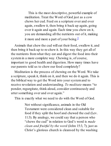<span id="page-153-0"></span>This is the most descriptive, powerful example of meditation. Treat the Word of God just as a cow chews her cud. Feed on a scripture over and over again, swallow it, then bring it back up again, going over it again and again. Each time you chew on it, you are demanding all the nutrients out of it, making it more and more a part of your being.<sup>[3](#page-172-2)</sup>

Animals that chew the cud will eat their food, swallow it, and then bring it back up to re-chew it. In this way they get all of the nutrients fromwhat they eat and digest the food into their systemin a more complete way. Chewing is, of course, important to good health and digestion. How many times have our parents told us to chew our food completely?

Meditation is the process of chewing on the Word. We take a scripture, speak it, think on it, and then we do it again. This is the biblical way to get the Word into your systemand to receive revelation and understanding. *To meditate* means "to ponder, regurgitate, think aloud, consider continuously and utter something over and over again."

This is exactly what we need to do with the Word of God.

Not without significance, animals in the Old Testament were considered clean and suitable for food if they split the hoof and chewed the cud (Lev. 11:3). By analogy, we could say that a person who "chews the cud" in relation to God's word is *made clean and fruitful by the word* (John 15:3, 7); just as Christ's glorious church is cleansed by the washing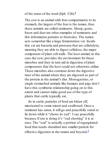<span id="page-154-0"></span>of the water of the word (Eph. 5:26). $\frac{4}{3}$  $\frac{4}{3}$  $\frac{4}{3}$ 

The cow is an animal with four compartments to its stomach, the largest of the four is the rumen, thus these animals are called ruminants. Sheep, goats, bison and deer are other examples of ruminants and this information pertains to themalso. The rumen acts somewhat like a large fermentation vat. Inside this vat are bacteria and protozoa that are cellulolytic, meaning they are able to digest cellulose, the major component of plant cell walls. The host animal, in this case the cow, provides the environment for these microbes and they in turn aid in digestion of plant components that the host could not otherwise utilize. These microbes also continue down the digestive tract of the animal where they are digested as part of the protein in the animal's diet. Monogastrics, or single stomached animals like humans and pigs don't have this symbiotic relationship going on to this extent and cannot make good use of the type of plants that cattle typically eat.

<span id="page-154-1"></span>So in cattle, particles of food are bitten off, masticated to some extent and swallowed. Once a ruminant has eaten, it will go and peacefully stand or lie down while it "chews its cud". I say peacefully because if one is doing it's "cud chewing" it is at ease. The "cud" is actually a portion of regurgitated food that needs shredded into smaller particle for effective digestion in the rumen and beyond.<sup>[5](#page-172-4)</sup>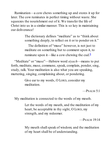Rumination—a cow chews something up and stores it up for later. The cow ruminates in perfect timing without waste. She squeezes the nourishment out of it. We transfer the life of Christ into us in a similar manner. This is so key in maintaining our deliverance!

> The dictionary defines "meditate" as to "think about something deeply, to reflect on it or to ponder on it."

The definition of "muse" however, is not just to meditate on something but to comment upon it, to ruminate upon it—like a cow chewing the cud.<sup>[6](#page-173-0)</sup>

"Meditate" or "muse"—Hebrew word *siyach*—means to put forth, meditate, muse, commune, speak, complain, ponder, sing, study, talk. Your meditation is also what you are speaking, muttering, singing, complaining about, or pondering.

> Give ear to my words, O LORD, consider my meditation.

> > <span id="page-155-0"></span>—PSALM 5:1

My meditation is connected to the words of my mouth.

Let the words of my mouth, and the meditation of my heart, be acceptable in thy sight, O LORD, my strength, and my redeemer.

—PSALM 19:14

My mouth shallspeak of wisdom; and the meditation of my heart shall be of understanding.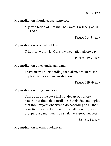My meditation should cause *gladness*.

My meditation of himshall be sweet: I will be glad in the LORD.

—PSALM 104:34, KJV

My meditation is on what I love.

O how love I thy law! It is my meditation all the day.

—PSALM 119:97, KJV

My meditation gives understanding.

I have more understanding than all my teachers: for thy testimonies are my meditation.

—PSALM 119:99, KJV

My meditation brings success.

This book of the law shall not depart out of thy mouth; but thou shalt meditate therein day and night, that thou mayest observe to do according to all that is written therein: for then thou shalt make thy way prosperous, and then thou shalt have good success.

—JOSHUA 1:8, KJV

My meditation is what I delight in.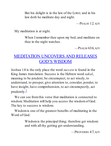But his delight is in the law of the LORD; and in his law doth he meditate day and night.

—PSALM 1:2, KJV

My meditation is at night.

When I remember thee upon my bed, and meditate on thee in the night watches.

—PSALM 63:6, KJV

# [MEDITATION](#page-7-1) UNCOVERS AND RELEASES GOD'S WISDOM

Joshua 1:8 is the only place the word *success* is found in the King James translation. Success is the Hebrew word *sakal*, meaning to be prudent, be circumspect, to act wisely, to understand, to prosper, give attention to, consider, ponder, to have insight, have comprehension, to act circumspectly, act prudently.<sup>2</sup>

<span id="page-157-0"></span>We can see fromthis verse that meditation is connected to wisdom. Meditation will help you access the wisdomof God. The key to success is wisdom.

Wisdomis one of the greatest benefits of meditating in the Word of God.

> Wisdomis the principal thing; therefore get wisdom: and with all thy getting get understanding.

> > —PROVERBS 4:7, KJV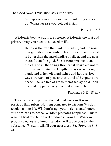The Good News Translation says it this way:

Getting wisdomis the most important thing you can do. Whatever else you get, get insight.

—PROVERBS 4:7

Wisdomis best; wisdomis supreme. Wisdomis the first and primary thing you need to succeed in life.

> Happy is the man that findeth wisdom, and the man that getteth understanding. For the merchandise of it is better than the merchandise of silver, and the gain thereof than fine gold. She is more precious than rubies: and all the things thou canst desire are not to be compared unto her. Length of days is in her right hand; and in her left hand riches and honour. Her ways are ways of pleasantness, and all her paths are peace. She is a tree of life to themthat lay hold upon her: and happy is every one that retaineth her.

> > —PROVERBS 3:13–18, KJV

These verses emphasize the value of wisdom. It is more precious than rubies. Nothing compares to wisdom. Wisdom results in long life. Wisdombrings you to riches and honor. Wisdomleads to peace. Wisdompromotes happiness. This is what biblical meditation will produce in your life. Wisdom produces riches and honor. Wisdomwill cause you to inherit substance. Wisdomwill fill your treasures. (See Proverbs 8:18– 21.)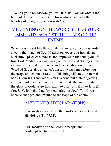When you find wisdom, you will find life. You will obtain the favor of the Lord (Prov. 8:35). This is also in line with the benefits of being in covenant with God.

# [MEDITATING](#page-7-2) ON THE WORD BUILDS YOUR IMMUNITY AGAINST THE TRAPS OF THE ENEMY

When you are set free through deliverance, your spirit is made alive to the things of God. Meditation keeps you fromfalling back into a place of darkness and oppression that cuts you off fromGod. Meditation maintains your position of abiding in the vine—the place of fruitfulness and life. Meditation on the Word of God is also an act of constantly keeping before you the image and character of God. This brings life to your mortal body (Rom. 8:11) and keeps you in a constant state of getting stronger and becoming more alive in Christ. By contemplating the glory of God, we go fromglory to glory and faith to faith (2 Cor. 3:18). By beholding, by meditating on God's Word, we become changed and immune to the traps of the enemy.

# MEDITATION [DECLARATIONS](#page-7-3)

I will meditate also of all the Lord's work and talk of His doings (Ps. 77:12).

I will meditate on the Lord's precepts and contemplate His ways (Ps. 119:15).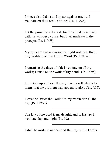Princes also did sit and speak against me, but I meditate on the Lord's statutes (Ps. 119:23).

Let the proud be ashamed; for they dealt perversely with me without a cause: but I will meditate in thy precepts (Ps. 119:78).

My eyes are awake during the night watches, that I may meditate on the Lord's Word (Ps. 119:148).

I remember the days of old; I meditate on all thy works; I muse on the work of thy hands (Ps. 143:5).

I meditate upon these things; give myself wholly to them; that my profiting may appear to all (1 Tim. 4:15).

I love the law of the Lord; it is my meditation all the day (Ps. 119:97).

The law of the Lord is my delight, and in His law I meditate day and night (Ps. 1:2).

I shall be made to understand the way of the Lord's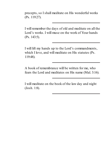precepts, so I shall meditate on His wonderful works (Ps. 119:27).

I will remember the days of old and meditate on all the Lord's works. I will muse on the work of Your hands (Ps. 143:5).

I will lift my hands up to the Lord's commandments, which I love, and will meditate on His statutes (Ps. 119:48).

A book of remembrance will be written for me, who fears the Lord and meditates on His name (Mal. 3:16).

I will meditate on the book of the law day and night (Josh. 1:8).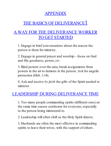# <span id="page-162-0"></span>[APPENDIX](#page-7-4)

# THE BASICS OF [DELIVERANCE](#page-7-4)[1](#page-173-2)

# A WAY FOR THE [DELIVERANCE](#page-7-5) WORKER TO GET STARTED

1. Engage in brief conversations about the reason the person is there for ministry.

2. Engage in general prayer and worship—focus on God and His goodness, power, *etc.*

3. Bind powers over the area, break assignments from powers in the air to demons in the person. Ask for angelic protection (Heb. 1:14).

4. Ask and receive *by faith* the gifts of the Spirit needed to minister.

# LEADERSHIP DURING [DELIVERANCE](#page-7-6) TIME

1. Too many people commanding spirits (different ones) at the same time causes confusion for everyone, especially to the person being ministered to.

2. Leadership will often shift as the Holy Spirit directs.

3. Husbands are often the most effective in commanding spirits to leave their wives, with the support of others.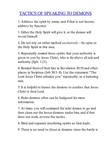# TACTICS OF [SPEAKING](#page-7-7) TO DEMONS

1. Address the spirit by name, and if that is not known, address by function.

1. Either the Holy Spirit will give it, or the demon will reveal himself.

2. Do not rely on either method *exclusively*—be open to the Holy Spirit in this area.

3. Repeatedly remind these spirits that your authority is given to you by Jesus Christ, who is far above all rule and authority (Eph. 1:21).

4. Remind themof their fate in Revelation 20:10 and other places in Scripture (Job 30:3–8). Use the statement "The Lord Jesus Christ rebukes you" repeatedly, as a battering ram.

5. It is helpful to harass the demons to confess that Jesus Christ is their Lord.

6. Ruler demons often can be badgered for more information.

7. At times you will command the ruler demon to go and then clean out the lesser demons under him, and if that does not work, reverse the tactics.

8. Bind and separate interfering spirits as God leads.

9. There is no need to shout at demons since the battle is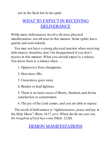not in the flesh but in the spirit.

# WHAT TO EXPECT IN RECEIVING [DELIVERANCE](#page-7-8)

While many deliverances involve obvious physical manifestations, not all react in this manner. Some spirits leave quietly and nonviolently.

You may not have a strong physical reaction when receiving deliverance; therefore, don't be disappointed if you don't receive in this manner. What you should expect is a release. You know there is a release when

1. Oppressive force disappears.

2. Heaviness lifts.

3. Uneasiness goes away.

4. Burden or load lightens.

5. There is an inner sense of liberty, freedom, and divine satisfaction or contentment.

6. The joy of the Lord comes, and you are able to rejoice.

The result of deliverance is "righteousness, peace and joy in the Holy Ghost" (Rom. 14:17, KJV). When devils are cast out, *the kingdom of God has come* (Matt. 12:28).

# DEMON [MANIFESTATIONS](#page-7-9)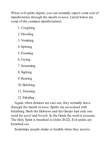When evil spirits depart, you can normally expect some sort of manifestation through the mouth or nose. Listed below are some of the common manifestations:

- 1. Coughing
- 2. Drooling
- 3. Vomiting
- 4. Spitting
- 5. Foaming
- 6. Crying
- 7. Screaming
- 8. Sighing
- 9. Roaring
- 10. Belching
- 11. Yawning
- 12. Exhaling

Again, when demons are cast out, they normally leave through the mouth or nose. Spirits are associated with breathing. Both the Hebrews and the Greeks had only one word for *spirit* and *breath.* In the Greek the word is *pneuma.* The Holy Spirit is breathed *in* (John 20:22). Evilspirits are breathed *out.*

Sometimes people shake or tremble when they receive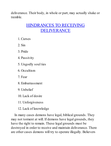deliverance. Their body, in whole or part, may actually shake or tremble.

# HINDRANCES TO RECEIVING [DELIVERANCE](#page-7-10)

- 1. Curses
- 2. Sin
- 3. Pride
- 4. Passivity
- 5. Ungodly soul ties
- 6. Occultism
- 7. Fear
- 8. Embarrassment
- 9. Unbelief
- 10. Lack of desire
- 11. Unforgiveness
- 12. Lack of knowledge

In many cases demons have legal, biblical grounds. They may not torment at will. If demons have legal grounds, they have the right to remain. These legal grounds must be destroyed in order to receive and maintain deliverance. There are other cases demons will try to operate illegally. Believers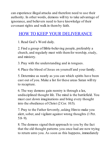can experience illegal attacks and therefore need to use their authority. In other words, demons will try to take advantage of ignorance, and believers need to have knowledge of their covenant rights and walk in themby faith.

# HOW TO KEEP YOUR [DELIVERANCE](#page-7-11)

1. Read God's Word daily.

2. Find a group of Bible-believing people, preferably a church, and regularly meet with themfor worship, study, and ministry.

3. Pray with the understanding and in tongues.

4. Place the blood of Jesus on yourself and your family.

5. Determine as nearly as you can which spirits have been cast out of you. Make a list for these areas Satan will try to recapture.

6. The way demons gain reentry is through a lax, undisciplined thought life. The mind is the battlefield. You must cast down imaginations and bring every thought into the obedience of Christ (2 Cor. 10:5).

7. Pray to the Father fervently, asking Himto make you alert, sober, and vigilant against wrong thoughts (1 Pet. 5:8–9).

8. The demons signal their approach to you by the fact that the old thought patterns you once had are now trying to return unto you. As soon as this happens, immediately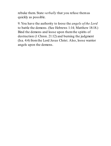rebuke them. State *verbally* that you refuse themas quickly as possible.

9. You have the authority to loose the *angels of the Lord* to battle the demons. (See Hebrews 1:14; Matthew 18:18.) Bind the demons and loose upon themthe spirits of destruction (1 Chron. 21:12) and burning the judgment (Isa. 4:4) fromthe Lord Jesus Christ. Also, loose warrior angels upon the demons.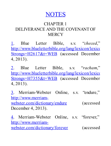# **[NOTES](#page-7-12)**

# CHAPTER 1 DELIVERANCE AND THE COVENANT OF **MERCY**

[1](#page-20-0). Blue Letter Bible, s.v. "*checed*," [http://www.blueletterbible.org/lang/lexicon/lexico](http://www.blueletterbible.org/lang/lexicon/lexicon.cfm?Strongs=H2617&t=WEB) Strongs=H2617&t=WEB (accessed December 4, 2013).

[2](#page-20-1). Blue Letter Bible, s.v. "*racham*," [http://www.blueletterbible.org/lang/lexicon/lexico](http://www.blueletterbible.org/lang/lexicon/lexicon.cfm?Strongs=H7355&t=WEB)n Strongs=H7355&t=WEB (accessed December 4, 2013).

[3](#page-22-0). Merriam-Webster Online, s.v. "endure," http://www.merriam[webster.com/dictionary/endure](http://www.merriam-webster.com/dictionary/endure) (accessed December 4, 2013).

[4](#page-22-1). Merriam-Webster Online, s.v. "forever," http://www.merriam[webster.com/dictionary/forever](http://www.merriam-webster.com/dictionary/forever) (accessed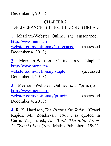December 4, 2013).

# CHAPTER<sub>2</sub>

# DELIVERANCE IS THE CHILDREN'S BREAD

[1](#page-32-0). Merriam-Webster Online, s.v. "sustenance," http://www.merriam[webster.com/dictionary/sustenance](http://www.merriam-webster.com/dictionary/sustenance) (accessed December 4, 2013).

[2](#page-33-0). Merriam-Webster Online, s.v. "staple," http://www.merriam[webster.com/dictionary/staple](http://www.merriam-webster.com/dictionary/staple) (accessed December 4, 2013).

[3](#page-33-1). Merriam-Webster Online, s.v. "principal," http://www.merriam[webster.com/dictionary/principal](http://www.merriam-webster.com/dictionary/principal) (accessed December 4, 2013).

[4](#page-34-0). R. K. Harrison, *The Psalms for Today* (Grand Rapids, MI: Zondervan, 1961), as quoted in Curtis Vaughn, ed., *The Word: The Bible From 26 Translations* (N.p.: Mathis Publishers, 1991).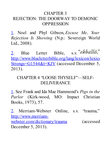# CHAPTER 3 REJECTION: THE DOORWAY TO DEMONIC **OPPRESSION**

[1](#page-48-0). Noel and Phyl Gibson, *Excuse Me, Your Rejection Is Showing* (N.p.: Sovereign World Ltd., 2008).

[2](#page-71-0). Blue Letter Bible, s.v.  $e\nkball\bar{o}$ ," [http://www.blueletterbible.org/lang/lexicon/lexico](http://www.blueletterbible.org/lang/lexicon/lexicon.cfm?Strongs=G1544&t=KJV)n Strongs=G1544&t=KJV (accessed December 5, 2013).

# CHAPTER 4 "LOOSE THYSELF"-SELF-DEL IVER ANCE

[1](#page-77-0). See Frank and Ida Mae Hammond's *Pigs in the Parlor* (Kirk-wood, MO: Impact Christian Books, 1973), 57.

[2](#page-78-0). Merriam-Webster Online, s.v. "trauma," http://www.merriam[webster.com/dictionary/trauma](http://www.merriam-webster.com/dictionary/trauma) (accessed December 5, 2013).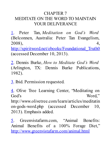# CHAPTER 7 MEDITATE ON THE WORD TO MAINTAIN YOUR DELIVER ANCE

<span id="page-172-0"></span>[1](#page-151-0). Peter Tan, *Meditation on God's Word* (Belconnen, Australia: Peter Tan Evangelism,  $2008$ ), 4, [http://spiritword.net/ebooks/Foundational\\_Truth0](http://spiritword.net/ebooks/Foundational_Truth01.pdf) (accessed December 10, 2013).

<span id="page-172-1"></span>[2](#page-151-1). Dennis Burke, *How to Meditate God's Word* (Arlington, TX: Dennis Burke Publications, 1982).

<span id="page-172-2"></span>[3](#page-153-0). Ibid. Permission requested.

<span id="page-172-3"></span>[4](#page-154-0). Olive Tree Learning Center, "Meditating on God's Word,"

http://www.olivetree.com/learn/articles/meditatingon-gods-word.php (accessed December 10, 2013). Emphasis added.

<span id="page-172-4"></span>[5](#page-154-1). Greenvistafarm.com, "Animal Benefits: Animal Benefits of a 100% Forage Diet," <http://www.greenvistafarm.com/animal.html>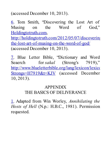(accessed December 10, 2013).

<span id="page-173-0"></span>[6](#page-155-0). Tom Smith, "Discovering the Lost Art of Musing on the Word of God." [Holdingtotruth.com,](http://Holdingtotruth.com) [http://holdingtotruth.com/2012/05/07/discovering](http://holdingtotruth.com/2012/05/07/discovering-the-lost-art-of-musing-on-the-word-of-god/)the-lost-art-of-musing-on-the-word-of-god/ (accessed December 10, 2013).

<span id="page-173-1"></span>[7](#page-157-0). Blue Letter Bible, "Dictionary and Word Seaerch for *sakal* (Strong's 7919)," [http://www.blueletterbible.org/lang/lexicon/lexico](http://www.blueletterbible.org/lang/lexicon/lexicon.cfm?Strongs=H7919&t=KJV)n Strongs=H7919&t=KJV (accessed December 10, 2013).

# APPENDIX THE BASICS OF DELIVERANCE

<span id="page-173-2"></span>[1](#page-162-0). Adapted from Win Worley, *Annihilating the Hosts of Hell* (N.p.: H.B.C., 1981). Permission requested.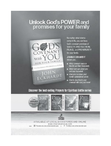# Unlock God's POWER and<br>promises for your family



No matter what storms come in life, you can have God's coverient promises of SAFETY PROTECTION **PEACE and PEOSPERTY** for your family.

**JOHN ECKHARDT** shows you.

- Nikel covenant meets in the Old and New Testaments
- What God says about you and your bansebold
- How you can break your family's generational curses
- How to stay tructo your covenant with God, and more!

#### Discover the best-selling Prayers for Spiritual Battle series









AVAILABLE AT LOCAL BOOKSTORES AND ONLINE www.CharlsmaHouse.com Facebook.com/charismahouse | Twitter.com /charism ahouse